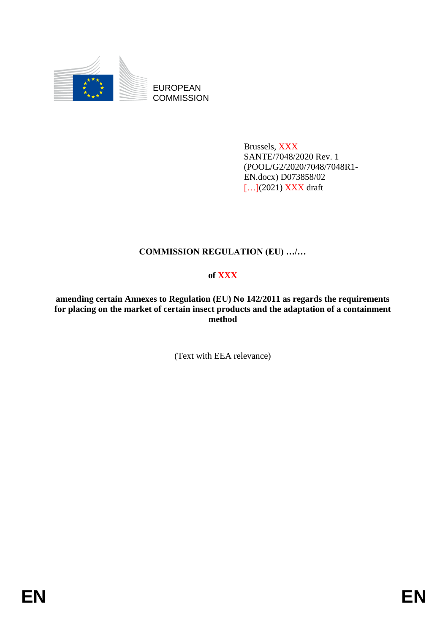

EUROPEAN **COMMISSION** 

> Brussels, XXX SANTE/7048/2020 Rev. 1 (POOL/G2/2020/7048/7048R1- EN.docx) D073858/02 [...](2021) **XXX** draft

# **COMMISSION REGULATION (EU) …/…**

# **of XXX**

**amending certain Annexes to Regulation (EU) No 142/2011 as regards the requirements for placing on the market of certain insect products and the adaptation of a containment method**

(Text with EEA relevance)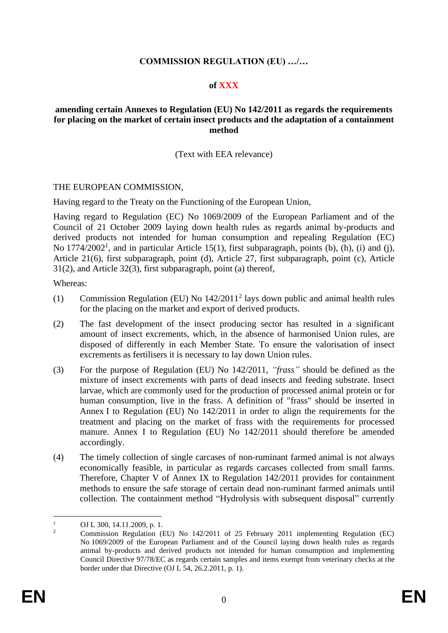## **COMMISSION REGULATION (EU) …/…**

### **of XXX**

#### **amending certain Annexes to Regulation (EU) No 142/2011 as regards the requirements for placing on the market of certain insect products and the adaptation of a containment method**

#### (Text with EEA relevance)

#### THE EUROPEAN COMMISSION,

Having regard to the Treaty on the Functioning of the European Union,

Having regard to Regulation (EC) No 1069/2009 of the European Parliament and of the Council of 21 October 2009 laying down health rules as regards animal by-products and derived products not intended for human consumption and repealing Regulation (EC) No  $1774/2002<sup>1</sup>$ , and in particular Article 15(1), first subparagraph, points (b), (h), (i) and (j), Article 21(6), first subparagraph, point (d), Article 27, first subparagraph, point (c), Article 31(2), and Article 32(3), first subparagraph, point (a) thereof,

Whereas:

- (1) Commission Regulation (EU) No 142/2011<sup>2</sup> lays down public and animal health rules for the placing on the market and export of derived products.
- (2) The fast development of the insect producing sector has resulted in a significant amount of insect excrements, which, in the absence of harmonised Union rules, are disposed of differently in each Member State. To ensure the valorisation of insect excrements as fertilisers it is necessary to lay down Union rules.
- (3) For the purpose of Regulation (EU) No 142/2011, *"frass"* should be defined as the mixture of insect excrements with parts of dead insects and feeding substrate. Insect larvae, which are commonly used for the production of processed animal protein or for human consumption, live in the frass. A definition of "frass" should be inserted in Annex I to Regulation (EU) No 142/2011 in order to align the requirements for the treatment and placing on the market of frass with the requirements for processed manure. Annex I to Regulation (EU) No 142/2011 should therefore be amended accordingly.
- (4) The timely collection of single carcases of non-ruminant farmed animal is not always economically feasible, in particular as regards carcases collected from small farms. Therefore, Chapter V of Annex IX to Regulation 142/2011 provides for containment methods to ensure the safe storage of certain dead non-ruminant farmed animals until collection. The containment method "Hydrolysis with subsequent disposal" currently

<sup>1</sup> OJ L 300, 14.11.2009, p. 1.

<sup>2</sup> Commission Regulation (EU) No 142/2011 of 25 February 2011 implementing Regulation (EC) No 1069/2009 of the European Parliament and of the Council laying down health rules as regards animal by-products and derived products not intended for human consumption and implementing Council Directive 97/78/EC as regards certain samples and items exempt from veterinary checks at the border under that Directive (OJ L 54, 26.2.2011, p. 1).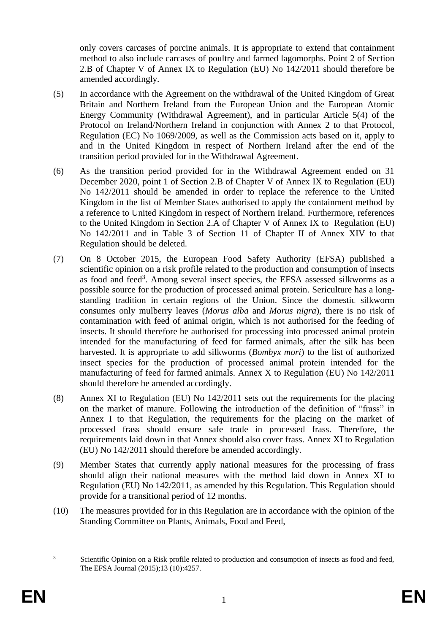only covers carcases of porcine animals. It is appropriate to extend that containment method to also include carcases of poultry and farmed lagomorphs. Point 2 of Section 2.B of Chapter V of Annex IX to Regulation (EU) No 142/2011 should therefore be amended accordingly*.*

- (5) In accordance with the Agreement on the withdrawal of the United Kingdom of Great Britain and Northern Ireland from the European Union and the European Atomic Energy Community (Withdrawal Agreement), and in particular Article 5(4) of the Protocol on Ireland/Northern Ireland in conjunction with Annex 2 to that Protocol, Regulation (EC) No 1069/2009, as well as the Commission acts based on it, apply to and in the United Kingdom in respect of Northern Ireland after the end of the transition period provided for in the Withdrawal Agreement.
- (6) As the transition period provided for in the Withdrawal Agreement ended on 31 December 2020, point 1 of Section 2.B of Chapter V of Annex IX to Regulation (EU) No 142/2011 should be amended in order to replace the reference to the United Kingdom in the list of Member States authorised to apply the containment method by a reference to United Kingdom in respect of Northern Ireland. Furthermore, references to the United Kingdom in Section 2.A of Chapter V of Annex IX to Regulation (EU) No 142/2011 and in Table 3 of Section 11 of Chapter II of Annex XIV to that Regulation should be deleted.
- (7) On 8 October 2015, the European Food Safety Authority (EFSA) published a scientific opinion on a risk profile related to the production and consumption of insects as food and feed<sup>3</sup>. Among several insect species, the EFSA assessed silkworms as a possible source for the production of processed animal protein. Sericulture has a longstanding tradition in certain regions of the Union. Since the domestic silkworm consumes only mulberry leaves (*Morus alba* and *Morus nigra*), there is no risk of contamination with feed of animal origin, which is not authorised for the feeding of insects. It should therefore be authorised for processing into processed animal protein intended for the manufacturing of feed for farmed animals, after the silk has been harvested. It is appropriate to add silkworms (*Bombyx mori*) to the list of authorized insect species for the production of processed animal protein intended for the manufacturing of feed for farmed animals. Annex X to Regulation (EU) No 142/2011 should therefore be amended accordingly.
- (8) Annex XI to Regulation (EU) No 142/2011 sets out the requirements for the placing on the market of manure. Following the introduction of the definition of "frass" in Annex I to that Regulation, the requirements for the placing on the market of processed frass should ensure safe trade in processed frass. Therefore, the requirements laid down in that Annex should also cover frass. Annex XI to Regulation (EU) No 142/2011 should therefore be amended accordingly.
- (9) Member States that currently apply national measures for the processing of frass should align their national measures with the method laid down in Annex XI to Regulation (EU) No 142/2011, as amended by this Regulation. This Regulation should provide for a transitional period of 12 months.
- (10) The measures provided for in this Regulation are in accordance with the opinion of the Standing Committee on Plants, Animals, Food and Feed,

<sup>&</sup>lt;sup>3</sup> Scientific Opinion on a Risk profile related to production and consumption of insects as food and feed, The EFSA Journal (2015);13 (10):4257.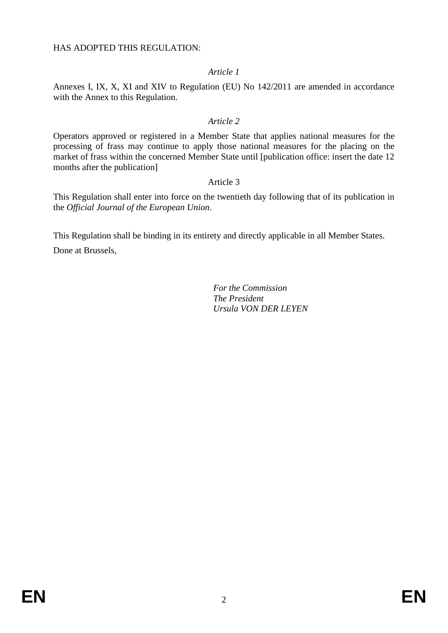HAS ADOPTED THIS REGULATION:

## *Article 1*

Annexes I, IX, X, XI and XIV to Regulation (EU) No 142/2011 are amended in accordance with the Annex to this Regulation.

### *Article 2*

Operators approved or registered in a Member State that applies national measures for the processing of frass may continue to apply those national measures for the placing on the market of frass within the concerned Member State until [publication office: insert the date 12 months after the publication]

### Article 3

This Regulation shall enter into force on the twentieth day following that of its publication in the *Official Journal of the European Union*.

This Regulation shall be binding in its entirety and directly applicable in all Member States.

Done at Brussels,

*For the Commission The President Ursula VON DER LEYEN*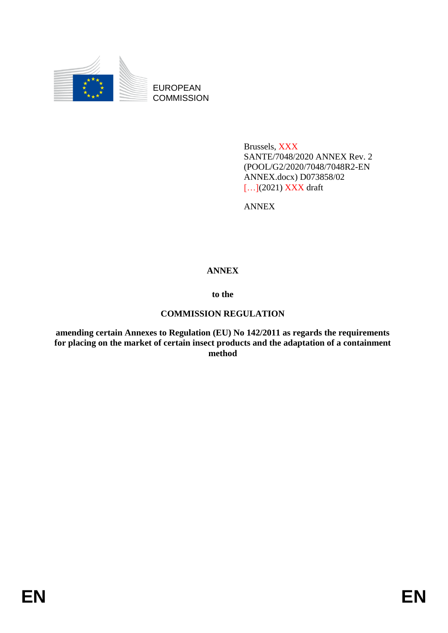

EUROPEAN **COMMISSION** 

> Brussels, XXX SANTE/7048/2020 ANNEX Rev. 2 (POOL/G2/2020/7048/7048R2-EN ANNEX.docx) D073858/02 [...](2021) **XXX** draft

ANNEX

# **ANNEX**

**to the**

# **COMMISSION REGULATION**

**amending certain Annexes to Regulation (EU) No 142/2011 as regards the requirements for placing on the market of certain insect products and the adaptation of a containment method**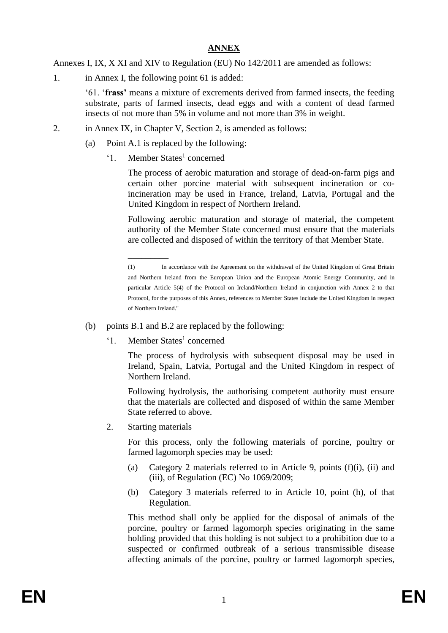# **ANNEX**

Annexes I, IX, X XI and XIV to Regulation (EU) No 142/2011 are amended as follows:

1. in Annex I, the following point 61 is added:

'61. '**frass'** means a mixture of excrements derived from farmed insects, the feeding substrate, parts of farmed insects, dead eggs and with a content of dead farmed insects of not more than 5% in volume and not more than 3% in weight.

- 2. in Annex IX, in Chapter V, Section 2, is amended as follows:
	- (a) Point A.1 is replaced by the following:
		- '1. Member States<sup>1</sup> concerned

The process of aerobic maturation and storage of dead-on-farm pigs and certain other porcine material with subsequent incineration or coincineration may be used in France, Ireland, Latvia, Portugal and the United Kingdom in respect of Northern Ireland.

Following aerobic maturation and storage of material, the competent authority of the Member State concerned must ensure that the materials are collected and disposed of within the territory of that Member State.

- (b) points B.1 and B.2 are replaced by the following:
	- '1. Member States<sup>1</sup> concerned

\_\_\_\_\_\_\_\_\_

The process of hydrolysis with subsequent disposal may be used in Ireland, Spain, Latvia, Portugal and the United Kingdom in respect of Northern Ireland.

Following hydrolysis, the authorising competent authority must ensure that the materials are collected and disposed of within the same Member State referred to above.

2. Starting materials

For this process, only the following materials of porcine, poultry or farmed lagomorph species may be used:

- (a) Category 2 materials referred to in Article 9, points (f)(i), (ii) and (iii), of Regulation (EC) No  $1069/2009$ ;
- (b) Category 3 materials referred to in Article 10, point (h), of that Regulation.

This method shall only be applied for the disposal of animals of the porcine, poultry or farmed lagomorph species originating in the same holding provided that this holding is not subject to a prohibition due to a suspected or confirmed outbreak of a serious transmissible disease affecting animals of the porcine, poultry or farmed lagomorph species,

<sup>(1)</sup> In accordance with the Agreement on the withdrawal of the United Kingdom of Great Britain and Northern Ireland from the European Union and the European Atomic Energy Community, and in particular Article 5(4) of the Protocol on Ireland/Northern Ireland in conjunction with Annex 2 to that Protocol, for the purposes of this Annex, references to Member States include the United Kingdom in respect of Northern Ireland."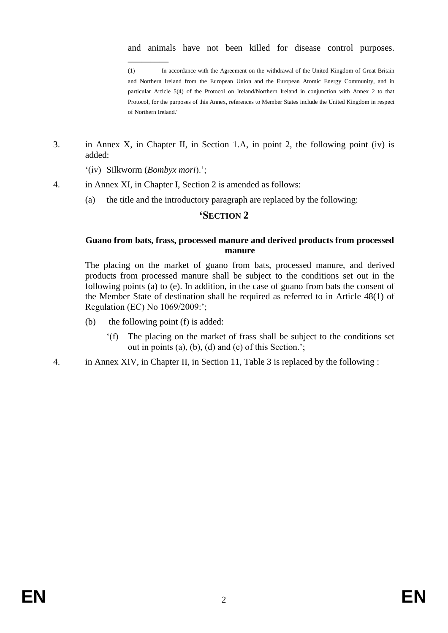and animals have not been killed for disease control purposes.

(1) In accordance with the Agreement on the withdrawal of the United Kingdom of Great Britain and Northern Ireland from the European Union and the European Atomic Energy Community, and in particular Article 5(4) of the Protocol on Ireland/Northern Ireland in conjunction with Annex 2 to that Protocol, for the purposes of this Annex, references to Member States include the United Kingdom in respect of Northern Ireland."

3. in Annex X, in Chapter II, in Section 1.A, in point 2, the following point (iv) is added:

'(iv) Silkworm (*Bombyx mori*).';

\_\_\_\_\_\_\_\_\_

- 4. in Annex XI, in Chapter I, Section 2 is amended as follows:
	- (a) the title and the introductory paragraph are replaced by the following:

## **'SECTION 2**

## **Guano from bats, frass, processed manure and derived products from processed manure**

The placing on the market of guano from bats, processed manure, and derived products from processed manure shall be subject to the conditions set out in the following points (a) to (e). In addition, in the case of guano from bats the consent of the Member State of destination shall be required as referred to in Article 48(1) of Regulation (EC) No 1069/2009:';

- (b) the following point (f) is added:
	- '(f) The placing on the market of frass shall be subject to the conditions set out in points (a), (b), (d) and (e) of this Section.';
- 4. in Annex XIV, in Chapter II, in Section 11, Table 3 is replaced by the following :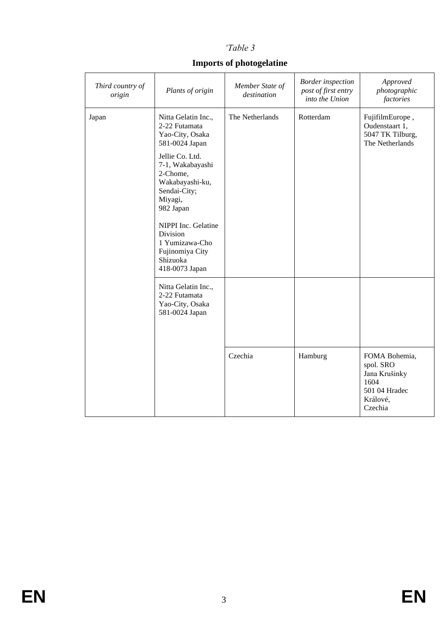# *'Table 3*

# **Imports of photogelatine**

| Third country of<br>origin | Plants of origin                                                                                                                                                                                                                                                                              | Member State of<br>destination | <b>Border</b> inspection<br>post of first entry<br>into the Union | Approved<br>photographic<br>factories                                                       |
|----------------------------|-----------------------------------------------------------------------------------------------------------------------------------------------------------------------------------------------------------------------------------------------------------------------------------------------|--------------------------------|-------------------------------------------------------------------|---------------------------------------------------------------------------------------------|
| Japan                      | Nitta Gelatin Inc.,<br>2-22 Futamata<br>Yao-City, Osaka<br>581-0024 Japan<br>Jellie Co. Ltd.<br>7-1, Wakabayashi<br>2-Chome,<br>Wakabayashi-ku,<br>Sendai-City;<br>Miyagi,<br>982 Japan<br>NIPPI Inc. Gelatine<br>Division<br>1 Yumizawa-Cho<br>Fujinomiya City<br>Shizuoka<br>418-0073 Japan |                                | Rotterdam                                                         | FujifilmEurope,<br>Oudenstaart 1,<br>5047 TK Tilburg,<br>The Netherlands                    |
|                            | Nitta Gelatin Inc.,<br>2-22 Futamata<br>Yao-City, Osaka<br>581-0024 Japan                                                                                                                                                                                                                     |                                |                                                                   |                                                                                             |
|                            |                                                                                                                                                                                                                                                                                               | Czechia                        | Hamburg                                                           | FOMA Bohemia,<br>spol. SRO<br>Jana Krušinky<br>1604<br>501 04 Hradec<br>Králové,<br>Czechia |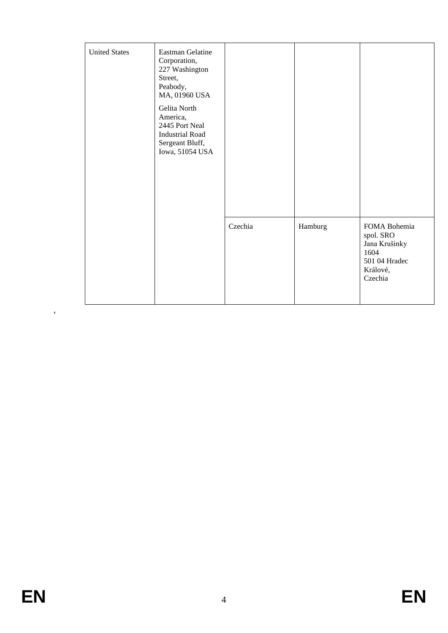| <b>United States</b> | Eastman Gelatine<br>Corporation,<br>227 Washington<br>Street,<br>Peabody,<br>MA, 01960 USA<br>Gelita North<br>America,<br>2445 Port Neal<br><b>Industrial Road</b><br>Sergeant Bluff,<br>Iowa, 51054 USA |         |         |                                                                                            |
|----------------------|----------------------------------------------------------------------------------------------------------------------------------------------------------------------------------------------------------|---------|---------|--------------------------------------------------------------------------------------------|
|                      |                                                                                                                                                                                                          | Czechia | Hamburg | FOMA Bohemia<br>spol. SRO<br>Jana Krušinky<br>1604<br>501 04 Hradec<br>Králové,<br>Czechia |

 $\ddot{\phantom{0}}$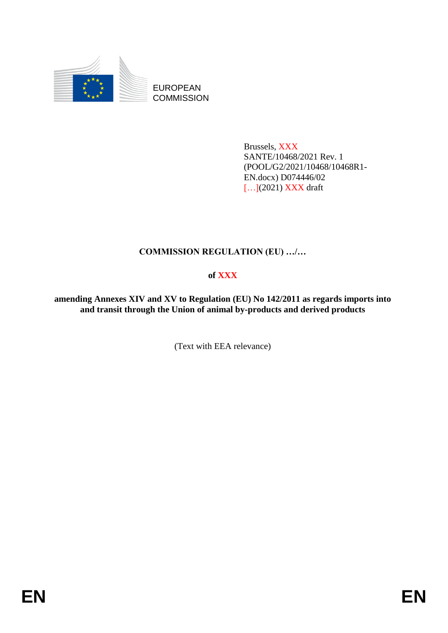

EUROPEAN **COMMISSION** 

> Brussels, XXX SANTE/10468/2021 Rev. 1 (POOL/G2/2021/10468/10468R1- EN.docx) D074446/02 [...](2021) **XXX** draft

# **COMMISSION REGULATION (EU) …/…**

# **of XXX**

**amending Annexes XIV and XV to Regulation (EU) No 142/2011 as regards imports into and transit through the Union of animal by-products and derived products**

(Text with EEA relevance)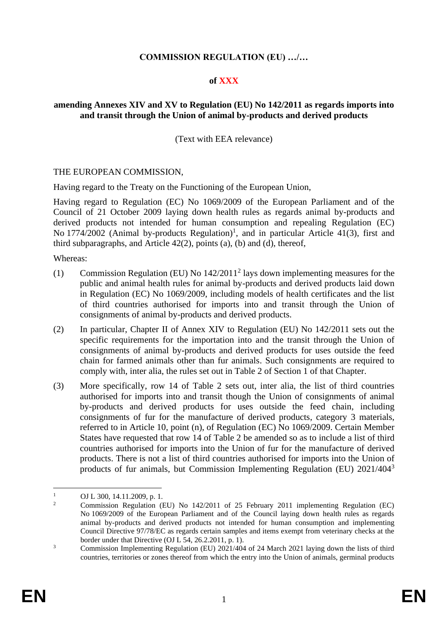# **COMMISSION REGULATION (EU) …/…**

### **of XXX**

## **amending Annexes XIV and XV to Regulation (EU) No 142/2011 as regards imports into and transit through the Union of animal by-products and derived products**

(Text with EEA relevance)

#### THE EUROPEAN COMMISSION,

Having regard to the Treaty on the Functioning of the European Union,

Having regard to Regulation (EC) No 1069/2009 of the European Parliament and of the Council of 21 October 2009 laying down health rules as regards animal by-products and derived products not intended for human consumption and repealing Regulation (EC) No 1774/2002 (Animal by-products Regulation)<sup>1</sup>, and in particular Article 41(3), first and third subparagraphs, and Article 42(2), points (a), (b) and (d), thereof,

Whereas:

- (1) Commission Regulation (EU) No 142/2011<sup>2</sup> lays down implementing measures for the public and animal health rules for animal by-products and derived products laid down in Regulation (EC) No 1069/2009, including models of health certificates and the list of third countries authorised for imports into and transit through the Union of consignments of animal by-products and derived products.
- (2) In particular, Chapter II of Annex XIV to Regulation (EU) No 142/2011 sets out the specific requirements for the importation into and the transit through the Union of consignments of animal by-products and derived products for uses outside the feed chain for farmed animals other than fur animals. Such consignments are required to comply with, inter alia, the rules set out in Table 2 of Section 1 of that Chapter.
- (3) More specifically, row 14 of Table 2 sets out, inter alia, the list of third countries authorised for imports into and transit though the Union of consignments of animal by-products and derived products for uses outside the feed chain, including consignments of fur for the manufacture of derived products, category 3 materials, referred to in Article 10, point (n), of Regulation (EC) No 1069/2009. Certain Member States have requested that row 14 of Table 2 be amended so as to include a list of third countries authorised for imports into the Union of fur for the manufacture of derived products. There is not a list of third countries authorised for imports into the Union of products of fur animals, but Commission Implementing Regulation (EU) 2021/404<sup>3</sup>

 $\frac{1}{2}$  OJ L 300, 14.11.2009, p. 1.

<sup>2</sup> Commission Regulation (EU) No 142/2011 of 25 February 2011 implementing Regulation (EC) No 1069/2009 of the European Parliament and of the Council laying down health rules as regards animal by-products and derived products not intended for human consumption and implementing Council Directive 97/78/EC as regards certain samples and items exempt from veterinary checks at the border under that Directive  $(OJ L 54, 26.2.2011, p. 1)$ .

<sup>&</sup>lt;sup>3</sup> Commission Implementing Regulation (EU)  $2021/404$  of 24 March 2021 laying down the lists of third countries, territories or zones thereof from which the entry into the Union of animals, germinal products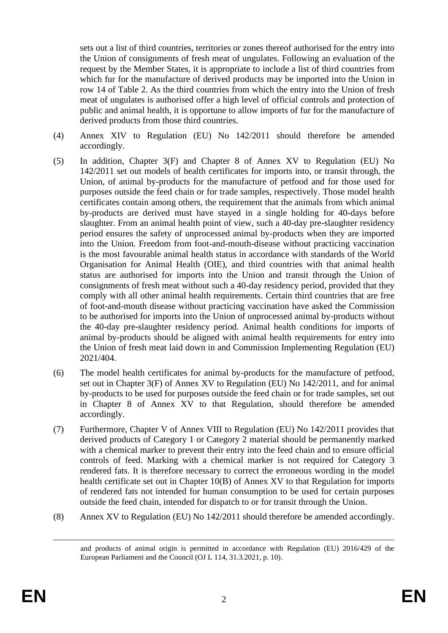sets out a list of third countries, territories or zones thereof authorised for the entry into the Union of consignments of fresh meat of ungulates. Following an evaluation of the request by the Member States, it is appropriate to include a list of third countries from which fur for the manufacture of derived products may be imported into the Union in row 14 of Table 2. As the third countries from which the entry into the Union of fresh meat of ungulates is authorised offer a high level of official controls and protection of public and animal health, it is opportune to allow imports of fur for the manufacture of derived products from those third countries.

- (4) Annex XIV to Regulation (EU) No 142/2011 should therefore be amended accordingly.
- (5) In addition, Chapter 3(F) and Chapter 8 of Annex XV to Regulation (EU) No 142/2011 set out models of health certificates for imports into, or transit through, the Union, of animal by-products for the manufacture of petfood and for those used for purposes outside the feed chain or for trade samples, respectively. Those model health certificates contain among others, the requirement that the animals from which animal by-products are derived must have stayed in a single holding for 40-days before slaughter. From an animal health point of view, such a 40-day pre-slaughter residency period ensures the safety of unprocessed animal by-products when they are imported into the Union. Freedom from foot-and-mouth-disease without practicing vaccination is the most favourable animal health status in accordance with standards of the World Organisation for Animal Health (OIE), and third countries with that animal health status are authorised for imports into the Union and transit through the Union of consignments of fresh meat without such a 40-day residency period, provided that they comply with all other animal health requirements. Certain third countries that are free of foot-and-mouth disease without practicing vaccination have asked the Commission to be authorised for imports into the Union of unprocessed animal by-products without the 40-day pre-slaughter residency period. Animal health conditions for imports of animal by-products should be aligned with animal health requirements for entry into the Union of fresh meat laid down in and Commission Implementing Regulation (EU) 2021/404.
- (6) The model health certificates for animal by-products for the manufacture of petfood, set out in Chapter 3(F) of Annex XV to Regulation (EU) No 142/2011, and for animal by-products to be used for purposes outside the feed chain or for trade samples, set out in Chapter 8 of Annex XV to that Regulation, should therefore be amended accordingly.
- (7) Furthermore, Chapter V of Annex VIII to Regulation (EU) No 142/2011 provides that derived products of Category 1 or Category 2 material should be permanently marked with a chemical marker to prevent their entry into the feed chain and to ensure official controls of feed. Marking with a chemical marker is not required for Category 3 rendered fats. It is therefore necessary to correct the erroneous wording in the model health certificate set out in Chapter 10(B) of Annex XV to that Regulation for imports of rendered fats not intended for human consumption to be used for certain purposes outside the feed chain, intended for dispatch to or for transit through the Union.
- (8) Annex XV to Regulation (EU) No 142/2011 should therefore be amended accordingly.

and products of animal origin is permitted in accordance with Regulation (EU) 2016/429 of the European Parliament and the Council (OJ L 114, 31.3.2021, p. 10).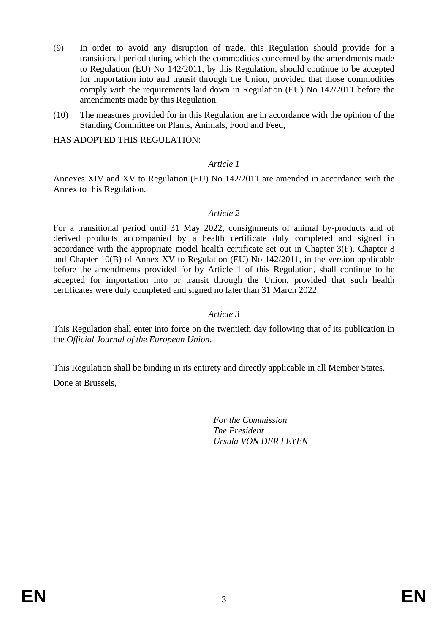- (9) In order to avoid any disruption of trade, this Regulation should provide for a transitional period during which the commodities concerned by the amendments made to Regulation (EU) No 142/2011, by this Regulation, should continue to be accepted for importation into and transit through the Union, provided that those commodities comply with the requirements laid down in Regulation (EU) No 142/2011 before the amendments made by this Regulation.
- (10) The measures provided for in this Regulation are in accordance with the opinion of the Standing Committee on Plants, Animals, Food and Feed,

HAS ADOPTED THIS REGULATION:

### *Article 1*

Annexes XIV and XV to Regulation (EU) No 142/2011 are amended in accordance with the Annex to this Regulation.

### *Article 2*

For a transitional period until 31 May 2022, consignments of animal by-products and of derived products accompanied by a health certificate duly completed and signed in accordance with the appropriate model health certificate set out in Chapter 3(F), Chapter 8 and Chapter 10(B) of Annex XV to Regulation (EU) No 142/2011, in the version applicable before the amendments provided for by Article 1 of this Regulation, shall continue to be accepted for importation into or transit through the Union, provided that such health certificates were duly completed and signed no later than 31 March 2022.

#### *Article 3*

This Regulation shall enter into force on the twentieth day following that of its publication in the *Official Journal of the European Union*.

This Regulation shall be binding in its entirety and directly applicable in all Member States. Done at Brussels,

> *For the Commission The President Ursula VON DER LEYEN*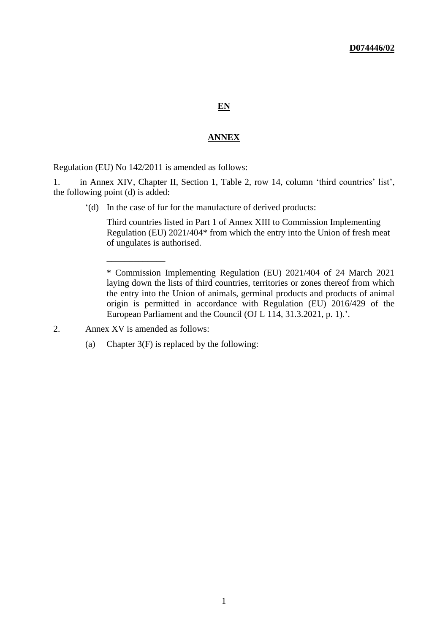#### **EN**

#### **ANNEX**

Regulation (EU) No 142/2011 is amended as follows:

1. in Annex XIV, Chapter II, Section 1, Table 2, row 14, column 'third countries' list', the following point (d) is added:

'(d) In the case of fur for the manufacture of derived products:

Third countries listed in Part 1 of Annex XIII to Commission Implementing Regulation (EU) 2021/404\* from which the entry into the Union of fresh meat of ungulates is authorised.

\* Commission Implementing Regulation (EU) 2021/404 of 24 March 2021 laying down the lists of third countries, territories or zones thereof from which the entry into the Union of animals, germinal products and products of animal origin is permitted in accordance with Regulation (EU) 2016/429 of the European Parliament and the Council (OJ L 114, 31.3.2021, p. 1).'.

2. Annex XV is amended as follows:

\_\_\_\_\_\_\_\_\_\_\_\_\_

(a) Chapter 3(F) is replaced by the following: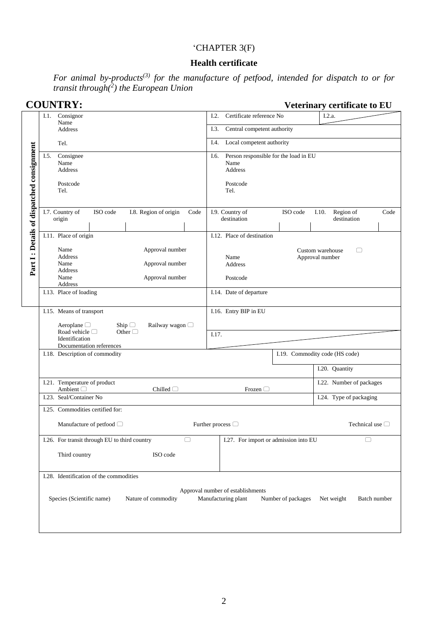# 'CHAPTER 3(F)

# **Health certificate**

*For animal by-products(3) for the manufacture of petfood, intended for dispatch to or for transit through(<sup>2</sup> ) the European Union*

|                                           | <b>COUNTRY:</b>                                                                                                     | Veterinary certificate to EU                                                                                 |  |  |  |  |  |
|-------------------------------------------|---------------------------------------------------------------------------------------------------------------------|--------------------------------------------------------------------------------------------------------------|--|--|--|--|--|
|                                           | Consignor<br>I.1.<br>Name                                                                                           | I.2.a.<br>Certificate reference No<br>I.2.                                                                   |  |  |  |  |  |
|                                           | Address                                                                                                             | I.3.<br>Central competent authority                                                                          |  |  |  |  |  |
|                                           | Tel.                                                                                                                | Local competent authority<br>I.4.                                                                            |  |  |  |  |  |
| Part I: Details of dispatched consignment | Consignee<br>I.5.<br>Name<br>Address<br>Postcode<br>Tel.                                                            | Person responsible for the load in EU<br>I.6.<br>Name<br>Address<br>Postcode<br>Tel.                         |  |  |  |  |  |
|                                           | I.7. Country of<br>ISO code<br>I.8. Region of origin<br>Code<br>origin                                              | ISO code<br>Region of<br>I.9. Country of<br>Code<br>I.10.<br>destination<br>destination                      |  |  |  |  |  |
|                                           | I.11. Place of origin                                                                                               | I.12. Place of destination                                                                                   |  |  |  |  |  |
|                                           | Approval number<br>Name<br>Address<br>Name<br>Approval number<br>Address<br>Name<br>Approval number<br>Address      | Custom warehouse<br>□<br>Name<br>Approval number<br>Address<br>Postcode                                      |  |  |  |  |  |
|                                           | I.13. Place of loading                                                                                              | I.14. Date of departure                                                                                      |  |  |  |  |  |
|                                           | I.15. Means of transport<br>Aeroplane $\Box$<br>Ship $\Box$<br>Railway wagon □                                      | I.16. Entry BIP in EU                                                                                        |  |  |  |  |  |
|                                           | Road vehicle $\Box$<br>Other $\Box$<br>Identification<br>Documentation references                                   | I.17.                                                                                                        |  |  |  |  |  |
|                                           | I.18. Description of commodity                                                                                      | I.19. Commodity code (HS code)                                                                               |  |  |  |  |  |
|                                           |                                                                                                                     | I.20. Quantity                                                                                               |  |  |  |  |  |
|                                           | I.21. Temperature of product<br>Ambient <sup>1</sup><br>Chilled $\Box$                                              | I.22. Number of packages<br>Frozen $\Box$                                                                    |  |  |  |  |  |
|                                           | I.23. Seal/Container No                                                                                             | I.24. Type of packaging                                                                                      |  |  |  |  |  |
|                                           | I.25. Commodities certified for:<br>Manufacture of petfood $\Box$<br>Technical use $\Box$<br>Further process $\Box$ |                                                                                                              |  |  |  |  |  |
|                                           | I.26. For transit through EU to third country                                                                       | I.27. For import or admission into EU                                                                        |  |  |  |  |  |
|                                           | Third country<br>ISO code                                                                                           |                                                                                                              |  |  |  |  |  |
|                                           | I.28. Identification of the commodities                                                                             |                                                                                                              |  |  |  |  |  |
|                                           | Species (Scientific name)<br>Nature of commodity                                                                    | Approval number of establishments<br>Manufacturing plant<br>Number of packages<br>Net weight<br>Batch number |  |  |  |  |  |
|                                           |                                                                                                                     |                                                                                                              |  |  |  |  |  |

2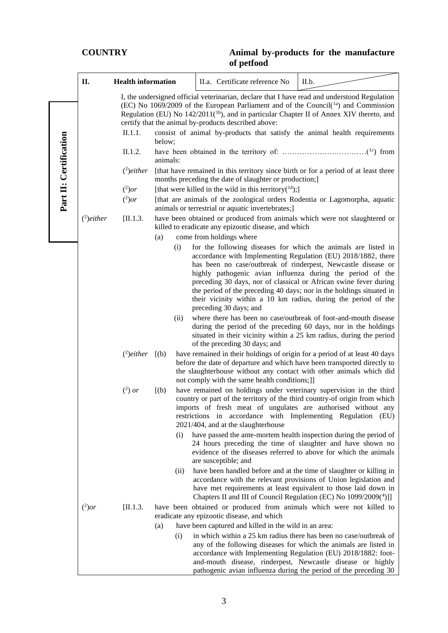|                        | П.                  | <b>Health information</b>                                                                                                                                                                                                                                                                      |          |                                                                                                                                                                                                                                            | II.a. Certificate reference No                                                                                                                                                                                                                                                 | II.b.                                                                                                                                                                                                                                                                                                                                                                                                                                                                         |  |  |
|------------------------|---------------------|------------------------------------------------------------------------------------------------------------------------------------------------------------------------------------------------------------------------------------------------------------------------------------------------|----------|--------------------------------------------------------------------------------------------------------------------------------------------------------------------------------------------------------------------------------------------|--------------------------------------------------------------------------------------------------------------------------------------------------------------------------------------------------------------------------------------------------------------------------------|-------------------------------------------------------------------------------------------------------------------------------------------------------------------------------------------------------------------------------------------------------------------------------------------------------------------------------------------------------------------------------------------------------------------------------------------------------------------------------|--|--|
|                        |                     | I, the undersigned official veterinarian, declare that I have read and understood Regulation<br>(EC) No 1069/2009 of the European Parliament and of the Council( $1a$ ) and Commission<br>Regulation (EU) No 142/2011( <sup>1b</sup> ), and in particular Chapter II of Annex XIV thereto, and |          |                                                                                                                                                                                                                                            |                                                                                                                                                                                                                                                                                |                                                                                                                                                                                                                                                                                                                                                                                                                                                                               |  |  |
|                        |                     |                                                                                                                                                                                                                                                                                                |          |                                                                                                                                                                                                                                            | certify that the animal by-products described above:                                                                                                                                                                                                                           |                                                                                                                                                                                                                                                                                                                                                                                                                                                                               |  |  |
|                        |                     | II.1.1.                                                                                                                                                                                                                                                                                        | below;   |                                                                                                                                                                                                                                            |                                                                                                                                                                                                                                                                                | consist of animal by-products that satisfy the animal health requirements                                                                                                                                                                                                                                                                                                                                                                                                     |  |  |
| Part II: Certification |                     | II.1.2.                                                                                                                                                                                                                                                                                        | animals: |                                                                                                                                                                                                                                            |                                                                                                                                                                                                                                                                                |                                                                                                                                                                                                                                                                                                                                                                                                                                                                               |  |  |
|                        |                     | $(2)$ either                                                                                                                                                                                                                                                                                   |          |                                                                                                                                                                                                                                            | months preceding the date of slaughter or production;]                                                                                                                                                                                                                         | [that have remained in this territory since birth or for a period of at least three                                                                                                                                                                                                                                                                                                                                                                                           |  |  |
|                        |                     | $(^2)$ or                                                                                                                                                                                                                                                                                      |          |                                                                                                                                                                                                                                            | [that were killed in the wild in this territory( $^{1d}$ );]                                                                                                                                                                                                                   |                                                                                                                                                                                                                                                                                                                                                                                                                                                                               |  |  |
|                        |                     | $(^2)$ or                                                                                                                                                                                                                                                                                      |          |                                                                                                                                                                                                                                            | animals or terrestrial or aquatic invertebrates;]                                                                                                                                                                                                                              | [that are animals of the zoological orders Rodentia or Lagomorpha, aquatic                                                                                                                                                                                                                                                                                                                                                                                                    |  |  |
|                        | $(2)$ either        | [II.1.3]                                                                                                                                                                                                                                                                                       |          |                                                                                                                                                                                                                                            | killed to eradicate any epizootic disease, and which                                                                                                                                                                                                                           | have been obtained or produced from animals which were not slaughtered or                                                                                                                                                                                                                                                                                                                                                                                                     |  |  |
|                        |                     |                                                                                                                                                                                                                                                                                                | (a)      |                                                                                                                                                                                                                                            | come from holdings where                                                                                                                                                                                                                                                       |                                                                                                                                                                                                                                                                                                                                                                                                                                                                               |  |  |
|                        |                     |                                                                                                                                                                                                                                                                                                | (i)      |                                                                                                                                                                                                                                            | preceding 30 days; and                                                                                                                                                                                                                                                         | for the following diseases for which the animals are listed in<br>accordance with Implementing Regulation (EU) 2018/1882, there<br>has been no case/outbreak of rinderpest, Newcastle disease or<br>highly pathogenic avian influenza during the period of the<br>preceding 30 days, nor of classical or African swine fever during<br>the period of the preceding 40 days; nor in the holdings situated in<br>their vicinity within a 10 km radius, during the period of the |  |  |
|                        | (ii)                |                                                                                                                                                                                                                                                                                                |          | where there has been no case/outbreak of foot-and-mouth disease<br>during the period of the preceding 60 days, nor in the holdings<br>situated in their vicinity within a 25 km radius, during the period<br>of the preceding 30 days; and |                                                                                                                                                                                                                                                                                |                                                                                                                                                                                                                                                                                                                                                                                                                                                                               |  |  |
|                        | $(2)$ either $[(b)$ |                                                                                                                                                                                                                                                                                                |          |                                                                                                                                                                                                                                            | not comply with the same health conditions;]]                                                                                                                                                                                                                                  | have remained in their holdings of origin for a period of at least 40 days<br>before the date of departure and which have been transported directly to<br>the slaughterhouse without any contact with other animals which did                                                                                                                                                                                                                                                 |  |  |
|                        |                     | $(2)$ or                                                                                                                                                                                                                                                                                       | [(b)]    |                                                                                                                                                                                                                                            | 2021/404, and at the slaughterhouse                                                                                                                                                                                                                                            | have remained on holdings under veterinary supervision in the third<br>country or part of the territory of the third country-of origin from which<br>imports of fresh meat of ungulates are authorised without any<br>restrictions in accordance with Implementing Regulation (EU)                                                                                                                                                                                            |  |  |
|                        |                     |                                                                                                                                                                                                                                                                                                | (i)      |                                                                                                                                                                                                                                            | are susceptible; and                                                                                                                                                                                                                                                           | have passed the ante-mortem health inspection during the period of<br>24 hours preceding the time of slaughter and have shown no<br>evidence of the diseases referred to above for which the animals                                                                                                                                                                                                                                                                          |  |  |
| (ii)                   |                     |                                                                                                                                                                                                                                                                                                |          |                                                                                                                                                                                                                                            | have been handled before and at the time of slaughter or killing in<br>accordance with the relevant provisions of Union legislation and<br>have met requirements at least equivalent to those laid down in<br>Chapters II and III of Council Regulation (EC) No 1099/2009(4)]] |                                                                                                                                                                                                                                                                                                                                                                                                                                                                               |  |  |
|                        | $(^2)$ or           | [II.1.3]                                                                                                                                                                                                                                                                                       |          |                                                                                                                                                                                                                                            |                                                                                                                                                                                                                                                                                | have been obtained or produced from animals which were not killed to                                                                                                                                                                                                                                                                                                                                                                                                          |  |  |
|                        |                     |                                                                                                                                                                                                                                                                                                |          |                                                                                                                                                                                                                                            | eradicate any epizootic disease, and which<br>have been captured and killed in the wild in an area:                                                                                                                                                                            |                                                                                                                                                                                                                                                                                                                                                                                                                                                                               |  |  |
|                        |                     | (a)<br>(i)                                                                                                                                                                                                                                                                                     |          |                                                                                                                                                                                                                                            |                                                                                                                                                                                                                                                                                | in which within a 25 km radius there has been no case/outbreak of<br>any of the following diseases for which the animals are listed in<br>accordance with Implementing Regulation (EU) 2018/1882: foot-<br>and-mouth disease, rinderpest, Newcastle disease or highly                                                                                                                                                                                                         |  |  |
|                        |                     |                                                                                                                                                                                                                                                                                                |          |                                                                                                                                                                                                                                            |                                                                                                                                                                                                                                                                                | pathogenic avian influenza during the period of the preceding 30                                                                                                                                                                                                                                                                                                                                                                                                              |  |  |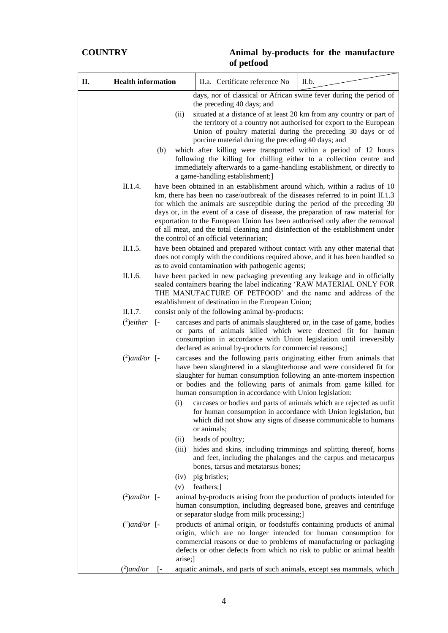| П. | <b>Health information</b> |              | II.a. Certificate reference No<br>II.b.                                                                                                                                                                                                                                                                                                                                                                                                                                                                                                        |
|----|---------------------------|--------------|------------------------------------------------------------------------------------------------------------------------------------------------------------------------------------------------------------------------------------------------------------------------------------------------------------------------------------------------------------------------------------------------------------------------------------------------------------------------------------------------------------------------------------------------|
|    |                           |              | days, nor of classical or African swine fever during the period of<br>the preceding 40 days; and                                                                                                                                                                                                                                                                                                                                                                                                                                               |
|    |                           | (ii)         | situated at a distance of at least 20 km from any country or part of<br>the territory of a country not authorised for export to the European<br>Union of poultry material during the preceding 30 days or of<br>porcine material during the preceding 40 days; and                                                                                                                                                                                                                                                                             |
|    |                           | (b)          | which after killing were transported within a period of 12 hours<br>following the killing for chilling either to a collection centre and<br>immediately afterwards to a game-handling establishment, or directly to<br>a game-handling establishment;]                                                                                                                                                                                                                                                                                         |
|    | II.1.4.                   |              | have been obtained in an establishment around which, within a radius of 10<br>km, there has been no case/outbreak of the diseases referred to in point II.1.3<br>for which the animals are susceptible during the period of the preceding 30<br>days or, in the event of a case of disease, the preparation of raw material for<br>exportation to the European Union has been authorised only after the removal<br>of all meat, and the total cleaning and disinfection of the establishment under<br>the control of an official veterinarian; |
|    | II.1.5.                   |              | have been obtained and prepared without contact with any other material that<br>does not comply with the conditions required above, and it has been handled so<br>as to avoid contamination with pathogenic agents;                                                                                                                                                                                                                                                                                                                            |
|    | II.1.6.                   |              | have been packed in new packaging preventing any leakage and in officially<br>sealed containers bearing the label indicating 'RAW MATERIAL ONLY FOR<br>THE MANUFACTURE OF PETFOOD' and the name and address of the<br>establishment of destination in the European Union;                                                                                                                                                                                                                                                                      |
|    | II.1.7.                   |              | consist only of the following animal by-products:                                                                                                                                                                                                                                                                                                                                                                                                                                                                                              |
|    | $(2)$ either              | $\sqrt{ }$   | carcases and parts of animals slaughtered or, in the case of game, bodies<br>or parts of animals killed which were deemed fit for human<br>consumption in accordance with Union legislation until irreversibly<br>declared as animal by-products for commercial reasons;]                                                                                                                                                                                                                                                                      |
|    | $(^2)$ and/or [-          |              | carcases and the following parts originating either from animals that<br>have been slaughtered in a slaughterhouse and were considered fit for<br>slaughter for human consumption following an ante-mortem inspection<br>or bodies and the following parts of animals from game killed for<br>human consumption in accordance with Union legislation:                                                                                                                                                                                          |
|    |                           | (i)          | carcases or bodies and parts of animals which are rejected as unfit<br>for human consumption in accordance with Union legislation, but<br>which did not show any signs of disease communicable to humans<br>or animals;                                                                                                                                                                                                                                                                                                                        |
|    |                           | (ii)         | heads of poultry;                                                                                                                                                                                                                                                                                                                                                                                                                                                                                                                              |
|    |                           | (iii)        | hides and skins, including trimmings and splitting thereof, horns<br>and feet, including the phalanges and the carpus and metacarpus<br>bones, tarsus and metatarsus bones;                                                                                                                                                                                                                                                                                                                                                                    |
|    |                           | (iv)         | pig bristles;                                                                                                                                                                                                                                                                                                                                                                                                                                                                                                                                  |
|    |                           | (v)          | feathers;]                                                                                                                                                                                                                                                                                                                                                                                                                                                                                                                                     |
|    | $(^2)$ and/or [-          |              | animal by-products arising from the production of products intended for<br>human consumption, including degreased bone, greaves and centrifuge<br>or separator sludge from milk processing;]                                                                                                                                                                                                                                                                                                                                                   |
|    | $(^2)$ and/or [-          | arise;]      | products of animal origin, or foodstuffs containing products of animal<br>origin, which are no longer intended for human consumption for<br>commercial reasons or due to problems of manufacturing or packaging<br>defects or other defects from which no risk to public or animal health                                                                                                                                                                                                                                                      |
|    | $(^2)$ and/or             | $\mathsf{I}$ | aquatic animals, and parts of such animals, except sea mammals, which                                                                                                                                                                                                                                                                                                                                                                                                                                                                          |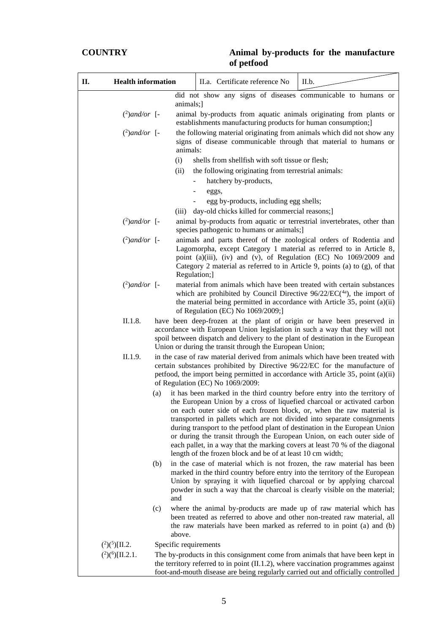| II.a. Certificate reference No                   | II.b.                                                                                                                                                                                                                                                                                                                                                                                                                                                                                                                                                                                                                                                                                                                                                                                                                                                                                                                                                                                                                                                                                                                                                                                                                                                                                                                                                                                                                                                                                                                                                                                                                                                                                                                                                                                                                                                                                                                                                                                                                                                                                                                                                                                                                                                                                                                                                                                                                                                                                                                                                                                                                                                                                                                                                                                                                                                                                                                                                                                                                                                                                                                                                                                                                                    |
|--------------------------------------------------|------------------------------------------------------------------------------------------------------------------------------------------------------------------------------------------------------------------------------------------------------------------------------------------------------------------------------------------------------------------------------------------------------------------------------------------------------------------------------------------------------------------------------------------------------------------------------------------------------------------------------------------------------------------------------------------------------------------------------------------------------------------------------------------------------------------------------------------------------------------------------------------------------------------------------------------------------------------------------------------------------------------------------------------------------------------------------------------------------------------------------------------------------------------------------------------------------------------------------------------------------------------------------------------------------------------------------------------------------------------------------------------------------------------------------------------------------------------------------------------------------------------------------------------------------------------------------------------------------------------------------------------------------------------------------------------------------------------------------------------------------------------------------------------------------------------------------------------------------------------------------------------------------------------------------------------------------------------------------------------------------------------------------------------------------------------------------------------------------------------------------------------------------------------------------------------------------------------------------------------------------------------------------------------------------------------------------------------------------------------------------------------------------------------------------------------------------------------------------------------------------------------------------------------------------------------------------------------------------------------------------------------------------------------------------------------------------------------------------------------------------------------------------------------------------------------------------------------------------------------------------------------------------------------------------------------------------------------------------------------------------------------------------------------------------------------------------------------------------------------------------------------------------------------------------------------------------------------------------------------|
|                                                  |                                                                                                                                                                                                                                                                                                                                                                                                                                                                                                                                                                                                                                                                                                                                                                                                                                                                                                                                                                                                                                                                                                                                                                                                                                                                                                                                                                                                                                                                                                                                                                                                                                                                                                                                                                                                                                                                                                                                                                                                                                                                                                                                                                                                                                                                                                                                                                                                                                                                                                                                                                                                                                                                                                                                                                                                                                                                                                                                                                                                                                                                                                                                                                                                                                          |
|                                                  |                                                                                                                                                                                                                                                                                                                                                                                                                                                                                                                                                                                                                                                                                                                                                                                                                                                                                                                                                                                                                                                                                                                                                                                                                                                                                                                                                                                                                                                                                                                                                                                                                                                                                                                                                                                                                                                                                                                                                                                                                                                                                                                                                                                                                                                                                                                                                                                                                                                                                                                                                                                                                                                                                                                                                                                                                                                                                                                                                                                                                                                                                                                                                                                                                                          |
|                                                  |                                                                                                                                                                                                                                                                                                                                                                                                                                                                                                                                                                                                                                                                                                                                                                                                                                                                                                                                                                                                                                                                                                                                                                                                                                                                                                                                                                                                                                                                                                                                                                                                                                                                                                                                                                                                                                                                                                                                                                                                                                                                                                                                                                                                                                                                                                                                                                                                                                                                                                                                                                                                                                                                                                                                                                                                                                                                                                                                                                                                                                                                                                                                                                                                                                          |
| shells from shellfish with soft tissue or flesh; |                                                                                                                                                                                                                                                                                                                                                                                                                                                                                                                                                                                                                                                                                                                                                                                                                                                                                                                                                                                                                                                                                                                                                                                                                                                                                                                                                                                                                                                                                                                                                                                                                                                                                                                                                                                                                                                                                                                                                                                                                                                                                                                                                                                                                                                                                                                                                                                                                                                                                                                                                                                                                                                                                                                                                                                                                                                                                                                                                                                                                                                                                                                                                                                                                                          |
|                                                  |                                                                                                                                                                                                                                                                                                                                                                                                                                                                                                                                                                                                                                                                                                                                                                                                                                                                                                                                                                                                                                                                                                                                                                                                                                                                                                                                                                                                                                                                                                                                                                                                                                                                                                                                                                                                                                                                                                                                                                                                                                                                                                                                                                                                                                                                                                                                                                                                                                                                                                                                                                                                                                                                                                                                                                                                                                                                                                                                                                                                                                                                                                                                                                                                                                          |
|                                                  |                                                                                                                                                                                                                                                                                                                                                                                                                                                                                                                                                                                                                                                                                                                                                                                                                                                                                                                                                                                                                                                                                                                                                                                                                                                                                                                                                                                                                                                                                                                                                                                                                                                                                                                                                                                                                                                                                                                                                                                                                                                                                                                                                                                                                                                                                                                                                                                                                                                                                                                                                                                                                                                                                                                                                                                                                                                                                                                                                                                                                                                                                                                                                                                                                                          |
| egg by-products, including egg shells;           |                                                                                                                                                                                                                                                                                                                                                                                                                                                                                                                                                                                                                                                                                                                                                                                                                                                                                                                                                                                                                                                                                                                                                                                                                                                                                                                                                                                                                                                                                                                                                                                                                                                                                                                                                                                                                                                                                                                                                                                                                                                                                                                                                                                                                                                                                                                                                                                                                                                                                                                                                                                                                                                                                                                                                                                                                                                                                                                                                                                                                                                                                                                                                                                                                                          |
| day-old chicks killed for commercial reasons;]   |                                                                                                                                                                                                                                                                                                                                                                                                                                                                                                                                                                                                                                                                                                                                                                                                                                                                                                                                                                                                                                                                                                                                                                                                                                                                                                                                                                                                                                                                                                                                                                                                                                                                                                                                                                                                                                                                                                                                                                                                                                                                                                                                                                                                                                                                                                                                                                                                                                                                                                                                                                                                                                                                                                                                                                                                                                                                                                                                                                                                                                                                                                                                                                                                                                          |
|                                                  |                                                                                                                                                                                                                                                                                                                                                                                                                                                                                                                                                                                                                                                                                                                                                                                                                                                                                                                                                                                                                                                                                                                                                                                                                                                                                                                                                                                                                                                                                                                                                                                                                                                                                                                                                                                                                                                                                                                                                                                                                                                                                                                                                                                                                                                                                                                                                                                                                                                                                                                                                                                                                                                                                                                                                                                                                                                                                                                                                                                                                                                                                                                                                                                                                                          |
|                                                  |                                                                                                                                                                                                                                                                                                                                                                                                                                                                                                                                                                                                                                                                                                                                                                                                                                                                                                                                                                                                                                                                                                                                                                                                                                                                                                                                                                                                                                                                                                                                                                                                                                                                                                                                                                                                                                                                                                                                                                                                                                                                                                                                                                                                                                                                                                                                                                                                                                                                                                                                                                                                                                                                                                                                                                                                                                                                                                                                                                                                                                                                                                                                                                                                                                          |
|                                                  |                                                                                                                                                                                                                                                                                                                                                                                                                                                                                                                                                                                                                                                                                                                                                                                                                                                                                                                                                                                                                                                                                                                                                                                                                                                                                                                                                                                                                                                                                                                                                                                                                                                                                                                                                                                                                                                                                                                                                                                                                                                                                                                                                                                                                                                                                                                                                                                                                                                                                                                                                                                                                                                                                                                                                                                                                                                                                                                                                                                                                                                                                                                                                                                                                                          |
|                                                  |                                                                                                                                                                                                                                                                                                                                                                                                                                                                                                                                                                                                                                                                                                                                                                                                                                                                                                                                                                                                                                                                                                                                                                                                                                                                                                                                                                                                                                                                                                                                                                                                                                                                                                                                                                                                                                                                                                                                                                                                                                                                                                                                                                                                                                                                                                                                                                                                                                                                                                                                                                                                                                                                                                                                                                                                                                                                                                                                                                                                                                                                                                                                                                                                                                          |
|                                                  |                                                                                                                                                                                                                                                                                                                                                                                                                                                                                                                                                                                                                                                                                                                                                                                                                                                                                                                                                                                                                                                                                                                                                                                                                                                                                                                                                                                                                                                                                                                                                                                                                                                                                                                                                                                                                                                                                                                                                                                                                                                                                                                                                                                                                                                                                                                                                                                                                                                                                                                                                                                                                                                                                                                                                                                                                                                                                                                                                                                                                                                                                                                                                                                                                                          |
|                                                  |                                                                                                                                                                                                                                                                                                                                                                                                                                                                                                                                                                                                                                                                                                                                                                                                                                                                                                                                                                                                                                                                                                                                                                                                                                                                                                                                                                                                                                                                                                                                                                                                                                                                                                                                                                                                                                                                                                                                                                                                                                                                                                                                                                                                                                                                                                                                                                                                                                                                                                                                                                                                                                                                                                                                                                                                                                                                                                                                                                                                                                                                                                                                                                                                                                          |
|                                                  |                                                                                                                                                                                                                                                                                                                                                                                                                                                                                                                                                                                                                                                                                                                                                                                                                                                                                                                                                                                                                                                                                                                                                                                                                                                                                                                                                                                                                                                                                                                                                                                                                                                                                                                                                                                                                                                                                                                                                                                                                                                                                                                                                                                                                                                                                                                                                                                                                                                                                                                                                                                                                                                                                                                                                                                                                                                                                                                                                                                                                                                                                                                                                                                                                                          |
|                                                  |                                                                                                                                                                                                                                                                                                                                                                                                                                                                                                                                                                                                                                                                                                                                                                                                                                                                                                                                                                                                                                                                                                                                                                                                                                                                                                                                                                                                                                                                                                                                                                                                                                                                                                                                                                                                                                                                                                                                                                                                                                                                                                                                                                                                                                                                                                                                                                                                                                                                                                                                                                                                                                                                                                                                                                                                                                                                                                                                                                                                                                                                                                                                                                                                                                          |
|                                                  |                                                                                                                                                                                                                                                                                                                                                                                                                                                                                                                                                                                                                                                                                                                                                                                                                                                                                                                                                                                                                                                                                                                                                                                                                                                                                                                                                                                                                                                                                                                                                                                                                                                                                                                                                                                                                                                                                                                                                                                                                                                                                                                                                                                                                                                                                                                                                                                                                                                                                                                                                                                                                                                                                                                                                                                                                                                                                                                                                                                                                                                                                                                                                                                                                                          |
|                                                  |                                                                                                                                                                                                                                                                                                                                                                                                                                                                                                                                                                                                                                                                                                                                                                                                                                                                                                                                                                                                                                                                                                                                                                                                                                                                                                                                                                                                                                                                                                                                                                                                                                                                                                                                                                                                                                                                                                                                                                                                                                                                                                                                                                                                                                                                                                                                                                                                                                                                                                                                                                                                                                                                                                                                                                                                                                                                                                                                                                                                                                                                                                                                                                                                                                          |
| above.                                           | did not show any signs of diseases communicable to humans or<br>animals;<br>animal by-products from aquatic animals originating from plants or<br>establishments manufacturing products for human consumption;]<br>the following material originating from animals which did not show any<br>signs of disease communicable through that material to humans or<br>animals:<br>the following originating from terrestrial animals:<br>hatchery by-products,<br>eggs,<br>animal by-products from aquatic or terrestrial invertebrates, other than<br>species pathogenic to humans or animals;]<br>animals and parts thereof of the zoological orders of Rodentia and<br>Lagomorpha, except Category 1 material as referred to in Article 8,<br>point (a)(iii), (iv) and (v), of Regulation (EC) No 1069/2009 and<br>Category 2 material as referred to in Article 9, points (a) to (g), of that<br>Regulation;]<br>material from animals which have been treated with certain substances<br>which are prohibited by Council Directive $96/22/EC(^{4a})$ , the import of<br>the material being permitted in accordance with Article 35, point (a)(ii)<br>of Regulation (EC) No 1069/2009;]<br>have been deep-frozen at the plant of origin or have been preserved in<br>accordance with European Union legislation in such a way that they will not<br>spoil between dispatch and delivery to the plant of destination in the European<br>Union or during the transit through the European Union;<br>in the case of raw material derived from animals which have been treated with<br>certain substances prohibited by Directive 96/22/EC for the manufacture of<br>petfood, the import being permitted in accordance with Article 35, point (a)(ii)<br>of Regulation (EC) No 1069/2009:<br>it has been marked in the third country before entry into the territory of<br>the European Union by a cross of liquefied charcoal or activated carbon<br>on each outer side of each frozen block, or, when the raw material is<br>transported in pallets which are not divided into separate consignments<br>during transport to the petfood plant of destination in the European Union<br>or during the transit through the European Union, on each outer side of<br>each pallet, in a way that the marking covers at least 70 % of the diagonal<br>length of the frozen block and be of at least 10 cm width;<br>in the case of material which is not frozen, the raw material has been<br>marked in the third country before entry into the territory of the European<br>Union by spraying it with liquefied charcoal or by applying charcoal<br>powder in such a way that the charcoal is clearly visible on the material;<br>where the animal by-products are made up of raw material which has<br>been treated as referred to above and other non-treated raw material, all<br>the raw materials have been marked as referred to in point (a) and (b)<br>Specific requirements<br>The by-products in this consignment come from animals that have been kept in<br>the territory referred to in point $(II.1.2)$ , where vaccination programmes against<br>foot-and-mouth disease are being regularly carried out and officially controlled |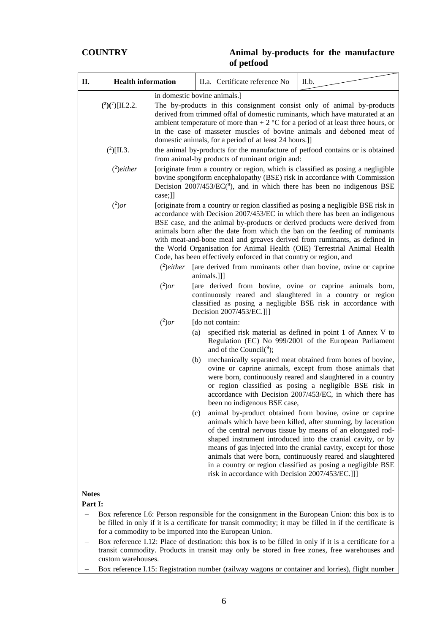| <b>Health information</b><br>П.                                                                                                                                                                                                                                                          | II.a. Certificate reference No                                                                                                                                                                                                                                                                                                                                                                                                                                                                                                                                                                                                | II.b.                                                                                                                                                                                                                                                                                                                                                                                                                                                     |  |  |  |
|------------------------------------------------------------------------------------------------------------------------------------------------------------------------------------------------------------------------------------------------------------------------------------------|-------------------------------------------------------------------------------------------------------------------------------------------------------------------------------------------------------------------------------------------------------------------------------------------------------------------------------------------------------------------------------------------------------------------------------------------------------------------------------------------------------------------------------------------------------------------------------------------------------------------------------|-----------------------------------------------------------------------------------------------------------------------------------------------------------------------------------------------------------------------------------------------------------------------------------------------------------------------------------------------------------------------------------------------------------------------------------------------------------|--|--|--|
|                                                                                                                                                                                                                                                                                          | in domestic bovine animals.]                                                                                                                                                                                                                                                                                                                                                                                                                                                                                                                                                                                                  |                                                                                                                                                                                                                                                                                                                                                                                                                                                           |  |  |  |
| $(^{2})(^{7})$ [II.2.2.                                                                                                                                                                                                                                                                  | The by-products in this consignment consist only of animal by-products<br>derived from trimmed offal of domestic ruminants, which have maturated at an<br>ambient temperature of more than $+ 2$ °C for a period of at least three hours, or<br>in the case of masseter muscles of bovine animals and deboned meat of<br>domestic animals, for a period of at least 24 hours.]                                                                                                                                                                                                                                                |                                                                                                                                                                                                                                                                                                                                                                                                                                                           |  |  |  |
| $(^{2})$ [II.3.                                                                                                                                                                                                                                                                          | the animal by-products for the manufacture of petfood contains or is obtained<br>from animal-by products of ruminant origin and:                                                                                                                                                                                                                                                                                                                                                                                                                                                                                              |                                                                                                                                                                                                                                                                                                                                                                                                                                                           |  |  |  |
| $(2)$ either<br>case;]]                                                                                                                                                                                                                                                                  | [originate from a country or region, which is classified as posing a negligible<br>bovine spongiform encephalopathy (BSE) risk in accordance with Commission<br>Decision $2007/453/EC(^{8})$ , and in which there has been no indigenous BSE                                                                                                                                                                                                                                                                                                                                                                                  |                                                                                                                                                                                                                                                                                                                                                                                                                                                           |  |  |  |
| $(^2)$ or<br>$\binom{2}{2}$ either                                                                                                                                                                                                                                                       | [originate from a country or region classified as posing a negligible BSE risk in<br>accordance with Decision 2007/453/EC in which there has been an indigenous<br>BSE case, and the animal by-products or derived products were derived from<br>animals born after the date from which the ban on the feeding of ruminants<br>with meat-and-bone meal and greaves derived from ruminants, as defined in<br>the World Organisation for Animal Health (OIE) Terrestrial Animal Health<br>Code, has been effectively enforced in that country or region, and<br>[are derived from ruminants other than bovine, ovine or caprine |                                                                                                                                                                                                                                                                                                                                                                                                                                                           |  |  |  |
| $(^2)$ or                                                                                                                                                                                                                                                                                | animals.]]]<br>[are derived from bovine, ovine or caprine animals born,<br>continuously reared and slaughtered in a country or region<br>classified as posing a negligible BSE risk in accordance with<br>Decision 2007/453/EC.]]]                                                                                                                                                                                                                                                                                                                                                                                            |                                                                                                                                                                                                                                                                                                                                                                                                                                                           |  |  |  |
| $(^2)$ or                                                                                                                                                                                                                                                                                | [do not contain:                                                                                                                                                                                                                                                                                                                                                                                                                                                                                                                                                                                                              |                                                                                                                                                                                                                                                                                                                                                                                                                                                           |  |  |  |
|                                                                                                                                                                                                                                                                                          | (a)<br>and of the Council( $9$ );                                                                                                                                                                                                                                                                                                                                                                                                                                                                                                                                                                                             | specified risk material as defined in point 1 of Annex V to<br>Regulation (EC) No 999/2001 of the European Parliament                                                                                                                                                                                                                                                                                                                                     |  |  |  |
|                                                                                                                                                                                                                                                                                          | (b)<br>been no indigenous BSE case,                                                                                                                                                                                                                                                                                                                                                                                                                                                                                                                                                                                           | mechanically separated meat obtained from bones of bovine,<br>ovine or caprine animals, except from those animals that<br>were born, continuously reared and slaughtered in a country<br>or region classified as posing a negligible BSE risk in<br>accordance with Decision 2007/453/EC, in which there has                                                                                                                                              |  |  |  |
|                                                                                                                                                                                                                                                                                          | (c)<br>risk in accordance with Decision 2007/453/EC.]]]                                                                                                                                                                                                                                                                                                                                                                                                                                                                                                                                                                       | animal by-product obtained from bovine, ovine or caprine<br>animals which have been killed, after stunning, by laceration<br>of the central nervous tissue by means of an elongated rod-<br>shaped instrument introduced into the cranial cavity, or by<br>means of gas injected into the cranial cavity, except for those<br>animals that were born, continuously reared and slaughtered<br>in a country or region classified as posing a negligible BSE |  |  |  |
| <b>Notes</b>                                                                                                                                                                                                                                                                             |                                                                                                                                                                                                                                                                                                                                                                                                                                                                                                                                                                                                                               |                                                                                                                                                                                                                                                                                                                                                                                                                                                           |  |  |  |
| Part I:                                                                                                                                                                                                                                                                                  |                                                                                                                                                                                                                                                                                                                                                                                                                                                                                                                                                                                                                               |                                                                                                                                                                                                                                                                                                                                                                                                                                                           |  |  |  |
| Box reference I.6: Person responsible for the consignment in the European Union: this box is to<br>be filled in only if it is a certificate for transit commodity; it may be filled in if the certificate is                                                                             |                                                                                                                                                                                                                                                                                                                                                                                                                                                                                                                                                                                                                               |                                                                                                                                                                                                                                                                                                                                                                                                                                                           |  |  |  |
| for a commodity to be imported into the European Union.<br>Box reference I.12: Place of destination: this box is to be filled in only if it is a certificate for a<br>transit commodity. Products in transit may only be stored in free zones, free warehouses and<br>custom warehouses. |                                                                                                                                                                                                                                                                                                                                                                                                                                                                                                                                                                                                                               |                                                                                                                                                                                                                                                                                                                                                                                                                                                           |  |  |  |

– Box reference I.15: Registration number (railway wagons or container and lorries), flight number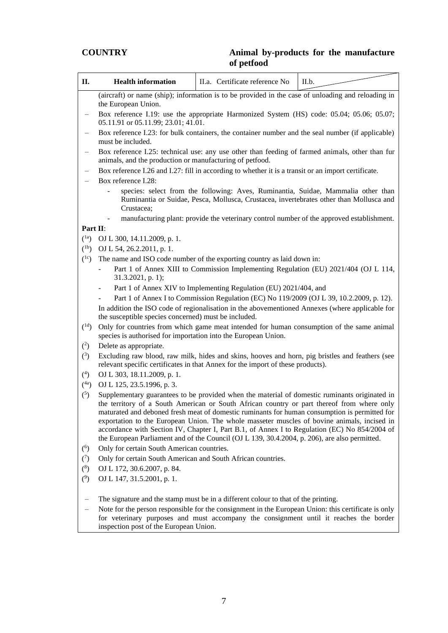| П.                       | <b>Health information</b><br>II.a. Certificate reference No<br>II.b.                                                                                                                                                                                                                                                                                                                                                                                                                                                                                                                          |                                                                                                                                                                                    |  |  |  |  |  |
|--------------------------|-----------------------------------------------------------------------------------------------------------------------------------------------------------------------------------------------------------------------------------------------------------------------------------------------------------------------------------------------------------------------------------------------------------------------------------------------------------------------------------------------------------------------------------------------------------------------------------------------|------------------------------------------------------------------------------------------------------------------------------------------------------------------------------------|--|--|--|--|--|
|                          | (aircraft) or name (ship); information is to be provided in the case of unloading and reloading in<br>the European Union.                                                                                                                                                                                                                                                                                                                                                                                                                                                                     |                                                                                                                                                                                    |  |  |  |  |  |
|                          | 05.11.91 or 05.11.99; 23.01; 41.01.                                                                                                                                                                                                                                                                                                                                                                                                                                                                                                                                                           | Box reference I.19: use the appropriate Harmonized System (HS) code: 05.04; 05.06; 05.07;                                                                                          |  |  |  |  |  |
|                          | must be included.                                                                                                                                                                                                                                                                                                                                                                                                                                                                                                                                                                             | Box reference I.23: for bulk containers, the container number and the seal number (if applicable)                                                                                  |  |  |  |  |  |
|                          | animals, and the production or manufacturing of petfood.                                                                                                                                                                                                                                                                                                                                                                                                                                                                                                                                      | Box reference I.25: technical use: any use other than feeding of farmed animals, other than fur                                                                                    |  |  |  |  |  |
|                          |                                                                                                                                                                                                                                                                                                                                                                                                                                                                                                                                                                                               | Box reference I.26 and I.27: fill in according to whether it is a transit or an import certificate.                                                                                |  |  |  |  |  |
|                          | Box reference I.28:                                                                                                                                                                                                                                                                                                                                                                                                                                                                                                                                                                           |                                                                                                                                                                                    |  |  |  |  |  |
|                          | Crustacea;                                                                                                                                                                                                                                                                                                                                                                                                                                                                                                                                                                                    | species: select from the following: Aves, Ruminantia, Suidae, Mammalia other than<br>Ruminantia or Suidae, Pesca, Mollusca, Crustacea, invertebrates other than Mollusca and       |  |  |  |  |  |
|                          |                                                                                                                                                                                                                                                                                                                                                                                                                                                                                                                                                                                               | manufacturing plant: provide the veterinary control number of the approved establishment.                                                                                          |  |  |  |  |  |
| Part II:                 |                                                                                                                                                                                                                                                                                                                                                                                                                                                                                                                                                                                               |                                                                                                                                                                                    |  |  |  |  |  |
| $(^{1a})$                | OJ L 300, 14.11.2009, p. 1.                                                                                                                                                                                                                                                                                                                                                                                                                                                                                                                                                                   |                                                                                                                                                                                    |  |  |  |  |  |
| $(^{1b})$                | OJ L 54, 26.2.2011, p. 1.                                                                                                                                                                                                                                                                                                                                                                                                                                                                                                                                                                     |                                                                                                                                                                                    |  |  |  |  |  |
| $\binom{1}{c}$           |                                                                                                                                                                                                                                                                                                                                                                                                                                                                                                                                                                                               | The name and ISO code number of the exporting country as laid down in:                                                                                                             |  |  |  |  |  |
|                          | 31.3.2021, p. 1);                                                                                                                                                                                                                                                                                                                                                                                                                                                                                                                                                                             | Part 1 of Annex XIII to Commission Implementing Regulation (EU) 2021/404 (OJ L 114,                                                                                                |  |  |  |  |  |
|                          |                                                                                                                                                                                                                                                                                                                                                                                                                                                                                                                                                                                               | Part 1 of Annex XIV to Implementing Regulation (EU) 2021/404, and                                                                                                                  |  |  |  |  |  |
|                          |                                                                                                                                                                                                                                                                                                                                                                                                                                                                                                                                                                                               | Part 1 of Annex I to Commission Regulation (EC) No 119/2009 (OJ L 39, 10.2.2009, p. 12).                                                                                           |  |  |  |  |  |
|                          | the susceptible species concerned) must be included.                                                                                                                                                                                                                                                                                                                                                                                                                                                                                                                                          | In addition the ISO code of regionalisation in the abovementioned Annexes (where applicable for                                                                                    |  |  |  |  |  |
| $(^{1d})$                | species is authorised for importation into the European Union.                                                                                                                                                                                                                                                                                                                                                                                                                                                                                                                                | Only for countries from which game meat intended for human consumption of the same animal                                                                                          |  |  |  |  |  |
| $^{(2)}$                 | Delete as appropriate.                                                                                                                                                                                                                                                                                                                                                                                                                                                                                                                                                                        |                                                                                                                                                                                    |  |  |  |  |  |
| $\binom{3}{ }$           |                                                                                                                                                                                                                                                                                                                                                                                                                                                                                                                                                                                               | Excluding raw blood, raw milk, hides and skins, hooves and horn, pig bristles and feathers (see<br>relevant specific certificates in that Annex for the import of these products). |  |  |  |  |  |
| $(^{4})$                 | OJ L 303, 18.11.2009, p. 1.                                                                                                                                                                                                                                                                                                                                                                                                                                                                                                                                                                   |                                                                                                                                                                                    |  |  |  |  |  |
| (4a)                     | OJ L 125, 23.5.1996, p. 3.                                                                                                                                                                                                                                                                                                                                                                                                                                                                                                                                                                    |                                                                                                                                                                                    |  |  |  |  |  |
| $\binom{5}{ }$           | Supplementary guarantees to be provided when the material of domestic ruminants originated in<br>the territory of a South American or South African country or part thereof from where only<br>maturated and deboned fresh meat of domestic ruminants for human consumption is permitted for<br>exportation to the European Union. The whole masseter muscles of bovine animals, incised in<br>accordance with Section IV, Chapter I, Part B.1, of Annex I to Regulation (EC) No 854/2004 of<br>the European Parliament and of the Council (OJ L 139, 30.4.2004, p. 206), are also permitted. |                                                                                                                                                                                    |  |  |  |  |  |
| $^{(6)}$                 | Only for certain South American countries.                                                                                                                                                                                                                                                                                                                                                                                                                                                                                                                                                    |                                                                                                                                                                                    |  |  |  |  |  |
| (7)                      | Only for certain South American and South African countries.                                                                                                                                                                                                                                                                                                                                                                                                                                                                                                                                  |                                                                                                                                                                                    |  |  |  |  |  |
| $(^8)$                   | OJ L 172, 30.6.2007, p. 84.                                                                                                                                                                                                                                                                                                                                                                                                                                                                                                                                                                   |                                                                                                                                                                                    |  |  |  |  |  |
| (9)                      | OJ L 147, 31.5.2001, p. 1.                                                                                                                                                                                                                                                                                                                                                                                                                                                                                                                                                                    |                                                                                                                                                                                    |  |  |  |  |  |
| $\overline{\phantom{m}}$ |                                                                                                                                                                                                                                                                                                                                                                                                                                                                                                                                                                                               | The signature and the stamp must be in a different colour to that of the printing.                                                                                                 |  |  |  |  |  |

– Note for the person responsible for the consignment in the European Union: this certificate is only for veterinary purposes and must accompany the consignment until it reaches the border inspection post of the European Union.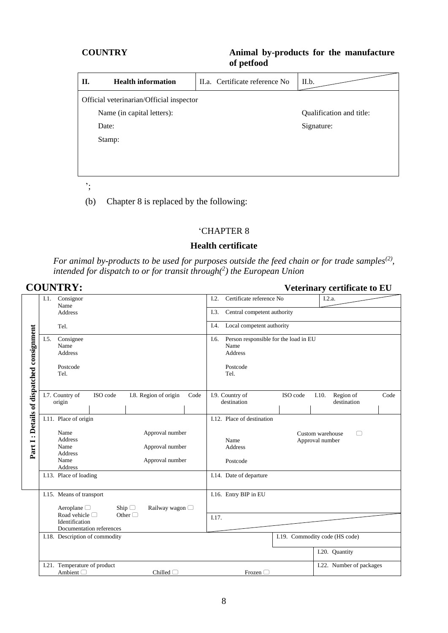| П.                         | <b>Health information</b>                | II.a. Certificate reference No | II.b.                    |  |  |  |  |  |
|----------------------------|------------------------------------------|--------------------------------|--------------------------|--|--|--|--|--|
|                            | Official veterinarian/Official inspector |                                |                          |  |  |  |  |  |
| Name (in capital letters): |                                          |                                | Qualification and title: |  |  |  |  |  |
|                            | Date:                                    |                                | Signature:               |  |  |  |  |  |
|                            | Stamp:                                   |                                |                          |  |  |  |  |  |
|                            |                                          |                                |                          |  |  |  |  |  |
|                            |                                          |                                |                          |  |  |  |  |  |
|                            |                                          |                                |                          |  |  |  |  |  |

';

(b) Chapter 8 is replaced by the following:

#### 'CHAPTER 8

#### **Health certificate**

*For animal by-products to be used for purposes outside the feed chain or for trade samples(2) , intended for dispatch to or for transit through(<sup>2</sup> ) the European Union*

|                                           | <b>COUNTRY:</b>                                                                                                                         |                                                                                             |                                     |          | Veterinary certificate to EU             |      |
|-------------------------------------------|-----------------------------------------------------------------------------------------------------------------------------------------|---------------------------------------------------------------------------------------------|-------------------------------------|----------|------------------------------------------|------|
|                                           | I.1. Consignor                                                                                                                          |                                                                                             | Certificate reference No<br>I.2.    |          | I.2.a.                                   |      |
|                                           | Name<br><b>Address</b>                                                                                                                  |                                                                                             | I.3.<br>Central competent authority |          |                                          |      |
|                                           | Tel.                                                                                                                                    | Local competent authority<br>I.4.                                                           |                                     |          |                                          |      |
| Part I: Details of dispatched consignment | Consignee<br>I.5.<br>Name<br><b>Address</b><br>Postcode<br>Tel.                                                                         | Person responsible for the load in EU<br>I.6.<br>Name<br><b>Address</b><br>Postcode<br>Tel. |                                     |          |                                          |      |
|                                           | I.7. Country of<br>ISO code<br>origin                                                                                                   | I.8. Region of origin<br>Code                                                               | I.9. Country of<br>destination      | ISO code | Region of<br>I.10.<br>destination        | Code |
|                                           | I.11. Place of origin                                                                                                                   |                                                                                             | I.12. Place of destination          |          |                                          |      |
|                                           | Approval number<br>Name<br>Address<br>Name<br>Approval number<br><b>Address</b><br>Name<br>Approval number<br>Address                   |                                                                                             | Name<br><b>Address</b><br>Postcode  |          | Custom warehouse<br>□<br>Approval number |      |
|                                           | I.13. Place of loading                                                                                                                  |                                                                                             | I.14. Date of departure             |          |                                          |      |
|                                           | I.15. Means of transport                                                                                                                |                                                                                             | I.16. Entry BIP in EU               |          |                                          |      |
|                                           | Aeroplane $\Box$<br>Ship $\Box$<br>Railway wagon □<br>Road vehicle $\Box$<br>Other $\Box$<br>Identification<br>Documentation references | I.17.                                                                                       |                                     |          |                                          |      |
|                                           | I.18. Description of commodity                                                                                                          |                                                                                             |                                     |          | I.19. Commodity code (HS code)           |      |
|                                           |                                                                                                                                         |                                                                                             |                                     |          | I.20. Quantity                           |      |
|                                           | I.21. Temperature of product<br>Ambient $\Box$                                                                                          | Chilled $\Box$                                                                              | Frozen $\Box$                       |          | I.22. Number of packages                 |      |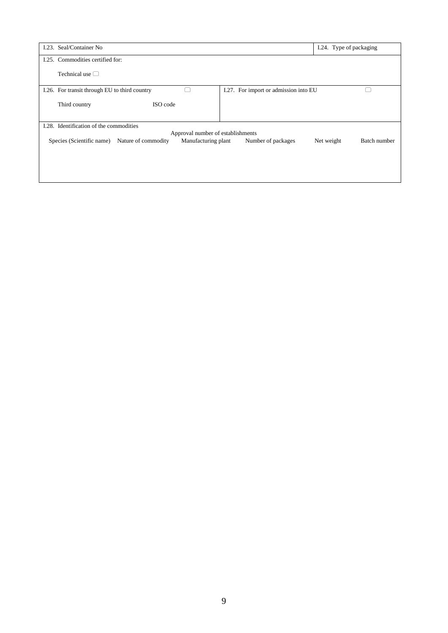| I.23. Seal/Container No.                                                | I.24. Type of packaging                          |
|-------------------------------------------------------------------------|--------------------------------------------------|
| I.25. Commodities certified for:                                        |                                                  |
| Technical use $\Box$                                                    |                                                  |
| I.26. For transit through EU to third country                           | I.27. For import or admission into EU            |
| ISO code<br>Third country                                               |                                                  |
| I.28. Identification of the commodities                                 |                                                  |
|                                                                         | Approval number of establishments                |
| Manufacturing plant<br>Species (Scientific name)<br>Nature of commodity | Number of packages<br>Batch number<br>Net weight |
|                                                                         |                                                  |
|                                                                         |                                                  |
|                                                                         |                                                  |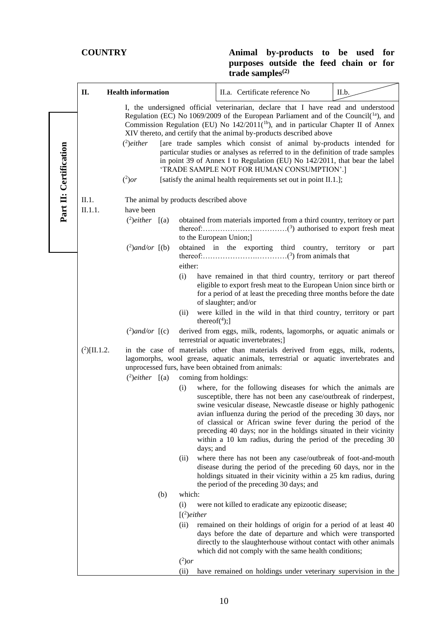|                        | П.                                              | <b>Health information</b>                                                                                                                                                                                                                                                                                                                              |                                                                                                                                                                                                                                                                | II.a. Certificate reference No                                                                                                                                                                                                                                                                                                                                                                                                                                             | II.b.      |  |  |  |
|------------------------|-------------------------------------------------|--------------------------------------------------------------------------------------------------------------------------------------------------------------------------------------------------------------------------------------------------------------------------------------------------------------------------------------------------------|----------------------------------------------------------------------------------------------------------------------------------------------------------------------------------------------------------------------------------------------------------------|----------------------------------------------------------------------------------------------------------------------------------------------------------------------------------------------------------------------------------------------------------------------------------------------------------------------------------------------------------------------------------------------------------------------------------------------------------------------------|------------|--|--|--|
|                        |                                                 | I, the undersigned official veterinarian, declare that I have read and understood<br>Regulation (EC) No 1069/2009 of the European Parliament and of the Council( $1a$ ), and<br>Commission Regulation (EU) No 142/2011( <sup>1b</sup> ), and in particular Chapter II of Annex<br>XIV thereto, and certify that the animal by-products described above |                                                                                                                                                                                                                                                                |                                                                                                                                                                                                                                                                                                                                                                                                                                                                            |            |  |  |  |
| Part II: Certification |                                                 | $(2)$ either                                                                                                                                                                                                                                                                                                                                           |                                                                                                                                                                                                                                                                | [are trade samples which consist of animal by-products intended for<br>particular studies or analyses as referred to in the definition of trade samples<br>in point 39 of Annex I to Regulation (EU) No 142/2011, that bear the label<br>'TRADE SAMPLE NOT FOR HUMAN CONSUMPTION'.]                                                                                                                                                                                        |            |  |  |  |
|                        |                                                 | [satisfy the animal health requirements set out in point II.1.];                                                                                                                                                                                                                                                                                       |                                                                                                                                                                                                                                                                |                                                                                                                                                                                                                                                                                                                                                                                                                                                                            |            |  |  |  |
|                        | II.1.<br>The animal by products described above |                                                                                                                                                                                                                                                                                                                                                        |                                                                                                                                                                                                                                                                |                                                                                                                                                                                                                                                                                                                                                                                                                                                                            |            |  |  |  |
|                        | have been<br>II.1.1.                            |                                                                                                                                                                                                                                                                                                                                                        |                                                                                                                                                                                                                                                                |                                                                                                                                                                                                                                                                                                                                                                                                                                                                            |            |  |  |  |
|                        |                                                 | $(^{2})$ either $[(a)$                                                                                                                                                                                                                                                                                                                                 |                                                                                                                                                                                                                                                                | obtained from materials imported from a third country, territory or part<br>to the European Union;]                                                                                                                                                                                                                                                                                                                                                                        |            |  |  |  |
|                        |                                                 | $(^{2})$ and/or $[(b)]$                                                                                                                                                                                                                                                                                                                                | either:                                                                                                                                                                                                                                                        | obtained in the exporting third country, territory                                                                                                                                                                                                                                                                                                                                                                                                                         | or<br>part |  |  |  |
|                        |                                                 |                                                                                                                                                                                                                                                                                                                                                        | (i)                                                                                                                                                                                                                                                            | have remained in that third country, territory or part thereof<br>eligible to export fresh meat to the European Union since birth or<br>for a period of at least the preceding three months before the date<br>of slaughter; and/or                                                                                                                                                                                                                                        |            |  |  |  |
|                        |                                                 |                                                                                                                                                                                                                                                                                                                                                        | (ii)<br>thereof $(4)$ ;                                                                                                                                                                                                                                        | were killed in the wild in that third country, territory or part                                                                                                                                                                                                                                                                                                                                                                                                           |            |  |  |  |
|                        |                                                 | $(^2)$ and/or $[(c)$                                                                                                                                                                                                                                                                                                                                   |                                                                                                                                                                                                                                                                | derived from eggs, milk, rodents, lagomorphs, or aquatic animals or<br>terrestrial or aquatic invertebrates;]                                                                                                                                                                                                                                                                                                                                                              |            |  |  |  |
|                        | $(^{2})$ [II.1.2.                               |                                                                                                                                                                                                                                                                                                                                                        |                                                                                                                                                                                                                                                                | in the case of materials other than materials derived from eggs, milk, rodents,<br>lagomorphs, wool grease, aquatic animals, terrestrial or aquatic invertebrates and<br>unprocessed furs, have been obtained from animals:                                                                                                                                                                                                                                                |            |  |  |  |
|                        |                                                 | $\binom{2}{2}$ either $\lbrack$ (a)                                                                                                                                                                                                                                                                                                                    | coming from holdings:                                                                                                                                                                                                                                          |                                                                                                                                                                                                                                                                                                                                                                                                                                                                            |            |  |  |  |
|                        |                                                 |                                                                                                                                                                                                                                                                                                                                                        | (i)<br>days; and                                                                                                                                                                                                                                               | where, for the following diseases for which the animals are<br>susceptible, there has not been any case/outbreak of rinderpest,<br>swine vesicular disease, Newcastle disease or highly pathogenic<br>avian influenza during the period of the preceding 30 days, nor<br>of classical or African swine fever during the period of the<br>preceding 40 days; nor in the holdings situated in their vicinity<br>within a 10 km radius, during the period of the preceding 30 |            |  |  |  |
|                        |                                                 |                                                                                                                                                                                                                                                                                                                                                        | (ii)                                                                                                                                                                                                                                                           | where there has not been any case/outbreak of foot-and-mouth<br>disease during the period of the preceding 60 days, nor in the<br>holdings situated in their vicinity within a 25 km radius, during<br>the period of the preceding 30 days; and                                                                                                                                                                                                                            |            |  |  |  |
|                        |                                                 |                                                                                                                                                                                                                                                                                                                                                        | which:<br>(b)                                                                                                                                                                                                                                                  |                                                                                                                                                                                                                                                                                                                                                                                                                                                                            |            |  |  |  |
|                        | (i)                                             |                                                                                                                                                                                                                                                                                                                                                        |                                                                                                                                                                                                                                                                | were not killed to eradicate any epizootic disease;                                                                                                                                                                                                                                                                                                                                                                                                                        |            |  |  |  |
|                        | $\lbrack$ ( <sup>2</sup> )either                |                                                                                                                                                                                                                                                                                                                                                        |                                                                                                                                                                                                                                                                |                                                                                                                                                                                                                                                                                                                                                                                                                                                                            |            |  |  |  |
|                        |                                                 |                                                                                                                                                                                                                                                                                                                                                        | remained on their holdings of origin for a period of at least 40<br>days before the date of departure and which were transported<br>directly to the slaughterhouse without contact with other animals<br>which did not comply with the same health conditions; |                                                                                                                                                                                                                                                                                                                                                                                                                                                                            |            |  |  |  |
|                        |                                                 |                                                                                                                                                                                                                                                                                                                                                        | $(^2)$ or                                                                                                                                                                                                                                                      |                                                                                                                                                                                                                                                                                                                                                                                                                                                                            |            |  |  |  |
|                        |                                                 |                                                                                                                                                                                                                                                                                                                                                        | (ii)                                                                                                                                                                                                                                                           | have remained on holdings under veterinary supervision in the                                                                                                                                                                                                                                                                                                                                                                                                              |            |  |  |  |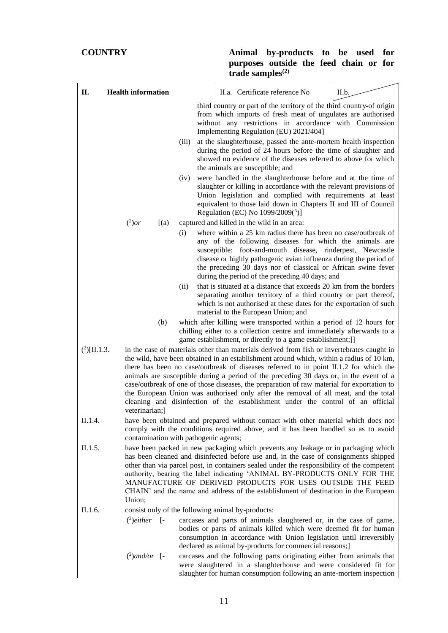| П.                | <b>Health information</b> |                                       | II.a. Certificate reference No                                                                                                                                                                                                                                                                                                                                                                                                                                                                                                                                                                                                                    | II.b. |
|-------------------|---------------------------|---------------------------------------|---------------------------------------------------------------------------------------------------------------------------------------------------------------------------------------------------------------------------------------------------------------------------------------------------------------------------------------------------------------------------------------------------------------------------------------------------------------------------------------------------------------------------------------------------------------------------------------------------------------------------------------------------|-------|
|                   |                           | (iii)<br>(iv)                         | third country or part of the territory of the third country-of origin<br>from which imports of fresh meat of ungulates are authorised<br>without any restrictions in accordance with Commission<br>Implementing Regulation (EU) 2021/404]<br>at the slaughterhouse, passed the ante-mortem health inspection<br>during the period of 24 hours before the time of slaughter and<br>showed no evidence of the diseases referred to above for which<br>the animals are susceptible; and<br>were handled in the slaughterhouse before and at the time of<br>slaughter or killing in accordance with the relevant provisions of                        |       |
|                   |                           |                                       | Union legislation and complied with requirements at least<br>equivalent to those laid down in Chapters II and III of Council<br>Regulation (EC) No 1099/2009(5)]                                                                                                                                                                                                                                                                                                                                                                                                                                                                                  |       |
|                   | $(^2)$ or<br>[(a)         |                                       | captured and killed in the wild in an area:                                                                                                                                                                                                                                                                                                                                                                                                                                                                                                                                                                                                       |       |
|                   |                           | (i)                                   | where within a 25 km radius there has been no case/outbreak of<br>any of the following diseases for which the animals are<br>susceptible: foot-and-mouth disease, rinderpest, Newcastle<br>disease or highly pathogenic avian influenza during the period of<br>the preceding 30 days nor of classical or African swine fever<br>during the period of the preceding 40 days; and                                                                                                                                                                                                                                                                  |       |
|                   |                           | (ii)                                  | that is situated at a distance that exceeds 20 km from the borders<br>separating another territory of a third country or part thereof,<br>which is not authorised at these dates for the exportation of such<br>material to the European Union; and                                                                                                                                                                                                                                                                                                                                                                                               |       |
|                   | (b)                       |                                       | which after killing were transported within a period of 12 hours for<br>chilling either to a collection centre and immediately afterwards to a<br>game establishment, or directly to a game establishment;]]                                                                                                                                                                                                                                                                                                                                                                                                                                      |       |
| $(^{2})$ [II.1.3. | veterinarian;]            |                                       | in the case of materials other than materials derived from fish or invertebrates caught in<br>the wild, have been obtained in an establishment around which, within a radius of 10 km,<br>there has been no case/outbreak of diseases referred to in point II.1.2 for which the<br>animals are susceptible during a period of the preceding 30 days or, in the event of a<br>case/outbreak of one of those diseases, the preparation of raw material for exportation to<br>the European Union was authorised only after the removal of all meat, and the total<br>cleaning and disinfection of the establishment under the control of an official |       |
| II.1.4.           |                           | contamination with pathogenic agents; | have been obtained and prepared without contact with other material which does not<br>comply with the conditions required above, and it has been handled so as to avoid                                                                                                                                                                                                                                                                                                                                                                                                                                                                           |       |
| II.1.5.           | Union;                    |                                       | have been packed in new packaging which prevents any leakage or in packaging which<br>has been cleaned and disinfected before use and, in the case of consignments shipped<br>other than via parcel post, in containers sealed under the responsibility of the competent<br>authority, bearing the label indicating 'ANIMAL BY-PRODUCTS ONLY FOR THE<br>MANUFACTURE OF DERIVED PRODUCTS FOR USES OUTSIDE THE FEED<br>CHAIN' and the name and address of the establishment of destination in the European                                                                                                                                          |       |
| II.1.6.           |                           |                                       | consist only of the following animal by-products:                                                                                                                                                                                                                                                                                                                                                                                                                                                                                                                                                                                                 |       |
|                   | $^{(2)}$ either [-        |                                       | carcases and parts of animals slaughtered or, in the case of game,<br>bodies or parts of animals killed which were deemed fit for human<br>consumption in accordance with Union legislation until irreversibly<br>declared as animal by-products for commercial reasons;]                                                                                                                                                                                                                                                                                                                                                                         |       |
|                   | $(^{2})$ and/or [-        |                                       | carcases and the following parts originating either from animals that<br>were slaughtered in a slaughterhouse and were considered fit for<br>slaughter for human consumption following an ante-mortem inspection                                                                                                                                                                                                                                                                                                                                                                                                                                  |       |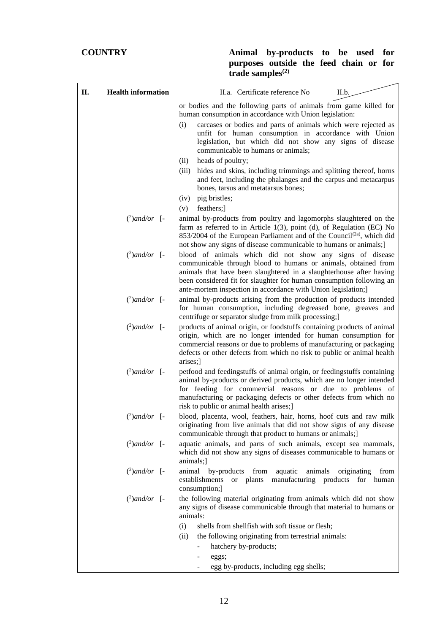| П. | <b>Health information</b> |                       | II.a. Certificate reference No                                                                                                                                                                                                                                                                                                                                                                                 | II.b.                                                   |
|----|---------------------------|-----------------------|----------------------------------------------------------------------------------------------------------------------------------------------------------------------------------------------------------------------------------------------------------------------------------------------------------------------------------------------------------------------------------------------------------------|---------------------------------------------------------|
|    |                           |                       | or bodies and the following parts of animals from game killed for<br>human consumption in accordance with Union legislation:                                                                                                                                                                                                                                                                                   |                                                         |
|    |                           | (i)                   | carcases or bodies and parts of animals which were rejected as<br>unfit for human consumption in accordance with Union<br>legislation, but which did not show any signs of disease<br>communicable to humans or animals;                                                                                                                                                                                       |                                                         |
|    |                           | (ii)<br>(iii)         | heads of poultry;<br>hides and skins, including trimmings and splitting thereof, horns<br>and feet, including the phalanges and the carpus and metacarpus<br>bones, tarsus and metatarsus bones;                                                                                                                                                                                                               |                                                         |
|    |                           | pig bristles;<br>(iv) |                                                                                                                                                                                                                                                                                                                                                                                                                |                                                         |
|    | $(^2)$ and/or [-          | feathers;]<br>(v)     | animal by-products from poultry and lagomorphs slaughtered on the<br>farm as referred to in Article $1(3)$ , point (d), of Regulation (EC) No<br>853/2004 of the European Parliament and of the Council <sup>(2a)</sup> , which did                                                                                                                                                                            |                                                         |
|    | $(^2)$ and/or [-          |                       | not show any signs of disease communicable to humans or animals;]<br>blood of animals which did not show any signs of disease<br>communicable through blood to humans or animals, obtained from<br>animals that have been slaughtered in a slaughterhouse after having<br>been considered fit for slaughter for human consumption following an<br>ante-mortem inspection in accordance with Union legislation; |                                                         |
|    | $(^2)$ and/or [-          |                       | animal by-products arising from the production of products intended<br>for human consumption, including degreased bone, greaves and<br>centrifuge or separator sludge from milk processing;]                                                                                                                                                                                                                   |                                                         |
|    | $(^2)$ and/or [-          | arises;]              | products of animal origin, or foodstuffs containing products of animal<br>origin, which are no longer intended for human consumption for<br>commercial reasons or due to problems of manufacturing or packaging<br>defects or other defects from which no risk to public or animal health                                                                                                                      |                                                         |
|    | $(^2)$ and/or [-          |                       | petfood and feedingstuffs of animal origin, or feedingstuffs containing<br>animal by-products or derived products, which are no longer intended<br>for feeding for commercial reasons or due to problems of<br>manufacturing or packaging defects or other defects from which no<br>risk to public or animal health arises;                                                                                    |                                                         |
|    | $(^2)$ and/or [-          |                       | blood, placenta, wool, feathers, hair, horns, hoof cuts and raw milk<br>originating from live animals that did not show signs of any disease<br>communicable through that product to humans or animals;]                                                                                                                                                                                                       |                                                         |
|    | $(^2)$ and/or [-          | animals;]             | aquatic animals, and parts of such animals, except sea mammals,<br>which did not show any signs of diseases communicable to humans or                                                                                                                                                                                                                                                                          |                                                         |
|    | $(^2)$ and/or [-          | consumption;]         | animal by-products from<br>aquatic<br>animals<br>establishments or plants                                                                                                                                                                                                                                                                                                                                      | originating<br>from<br>manufacturing products for human |
|    | $(^2)$ and/or [-          | animals:              | the following material originating from animals which did not show<br>any signs of disease communicable through that material to humans or                                                                                                                                                                                                                                                                     |                                                         |
|    |                           | (i)<br>(ii)           | shells from shellfish with soft tissue or flesh;<br>the following originating from terrestrial animals:<br>hatchery by-products;<br>eggs;<br>egg by-products, including egg shells;                                                                                                                                                                                                                            |                                                         |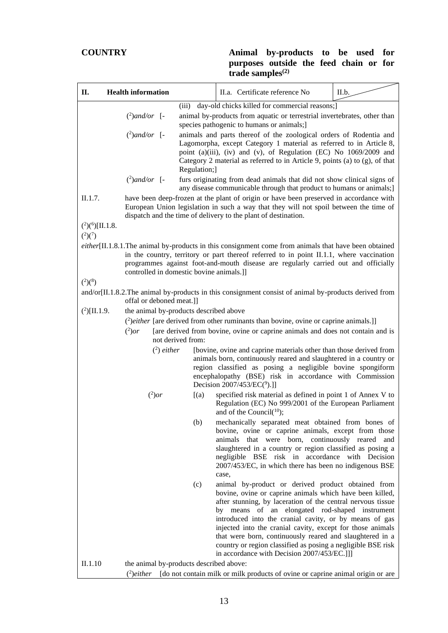| П.                                                 | <b>Health information</b>                                                                                                                                                                                                                                                                                                             |                                                                                                                                                                                                                                                   | II.a. Certificate reference No                                                                                                                                                                                                                                                                                                                                                                                   | II.b. |  |  |
|----------------------------------------------------|---------------------------------------------------------------------------------------------------------------------------------------------------------------------------------------------------------------------------------------------------------------------------------------------------------------------------------------|---------------------------------------------------------------------------------------------------------------------------------------------------------------------------------------------------------------------------------------------------|------------------------------------------------------------------------------------------------------------------------------------------------------------------------------------------------------------------------------------------------------------------------------------------------------------------------------------------------------------------------------------------------------------------|-------|--|--|
|                                                    | $(^2)$ and/or [-                                                                                                                                                                                                                                                                                                                      | (iii)                                                                                                                                                                                                                                             | day-old chicks killed for commercial reasons;<br>animal by-products from aquatic or terrestrial invertebrates, other than<br>species pathogenic to humans or animals;                                                                                                                                                                                                                                            |       |  |  |
|                                                    | $(^2)$ and/or [-                                                                                                                                                                                                                                                                                                                      | Regulation;]                                                                                                                                                                                                                                      | animals and parts thereof of the zoological orders of Rodentia and<br>Lagomorpha, except Category 1 material as referred to in Article 8,<br>point (a)(iii), (iv) and (v), of Regulation (EC) No 1069/2009 and<br>Category 2 material as referred to in Article 9, points (a) to (g), of that                                                                                                                    |       |  |  |
|                                                    | $(^2)$ and/or [-                                                                                                                                                                                                                                                                                                                      |                                                                                                                                                                                                                                                   | furs originating from dead animals that did not show clinical signs of<br>any disease communicable through that product to humans or animals;]                                                                                                                                                                                                                                                                   |       |  |  |
| II.1.7.                                            |                                                                                                                                                                                                                                                                                                                                       | have been deep-frozen at the plant of origin or have been preserved in accordance with<br>European Union legislation in such a way that they will not spoil between the time of<br>dispatch and the time of delivery to the plant of destination. |                                                                                                                                                                                                                                                                                                                                                                                                                  |       |  |  |
| $(^{2})$ <sup>(6</sup> )[II.1.8.<br>$(^{2})(^{7})$ |                                                                                                                                                                                                                                                                                                                                       |                                                                                                                                                                                                                                                   |                                                                                                                                                                                                                                                                                                                                                                                                                  |       |  |  |
|                                                    | $either$ [II.1.8.1.The animal by-products in this consignment come from animals that have been obtained<br>in the country, territory or part thereof referred to in point II.1.1, where vaccination<br>programmes against foot-and-mouth disease are regularly carried out and officially<br>controlled in domestic bovine animals.]] |                                                                                                                                                                                                                                                   |                                                                                                                                                                                                                                                                                                                                                                                                                  |       |  |  |
| $(^{2})$ $(^{8})$                                  |                                                                                                                                                                                                                                                                                                                                       |                                                                                                                                                                                                                                                   |                                                                                                                                                                                                                                                                                                                                                                                                                  |       |  |  |
|                                                    | offal or deboned meat.]]                                                                                                                                                                                                                                                                                                              |                                                                                                                                                                                                                                                   | and/or[II.1.8.2.The animal by-products in this consignment consist of animal by-products derived from                                                                                                                                                                                                                                                                                                            |       |  |  |
| $(^{2})$ [II.1.9.                                  | the animal by-products described above                                                                                                                                                                                                                                                                                                |                                                                                                                                                                                                                                                   |                                                                                                                                                                                                                                                                                                                                                                                                                  |       |  |  |
|                                                    |                                                                                                                                                                                                                                                                                                                                       |                                                                                                                                                                                                                                                   | (2) either [are derived from other ruminants than bovine, ovine or caprine animals.]]                                                                                                                                                                                                                                                                                                                            |       |  |  |
|                                                    | $(^2)$ or                                                                                                                                                                                                                                                                                                                             | not derived from:                                                                                                                                                                                                                                 | [are derived from bovine, ovine or caprine animals and does not contain and is                                                                                                                                                                                                                                                                                                                                   |       |  |  |
|                                                    | $(2)$ either                                                                                                                                                                                                                                                                                                                          |                                                                                                                                                                                                                                                   | [bovine, ovine and caprine materials other than those derived from<br>animals born, continuously reared and slaughtered in a country or<br>region classified as posing a negligible bovine spongiform<br>encephalopathy (BSE) risk in accordance with Commission<br>Decision $2007/453/EC(^9)$ .]                                                                                                                |       |  |  |
|                                                    | $(^2)$ or                                                                                                                                                                                                                                                                                                                             | [(a)]                                                                                                                                                                                                                                             | specified risk material as defined in point 1 of Annex V to<br>Regulation (EC) No 999/2001 of the European Parliament<br>and of the Council( $10$ );                                                                                                                                                                                                                                                             |       |  |  |
|                                                    |                                                                                                                                                                                                                                                                                                                                       | (b)                                                                                                                                                                                                                                               | mechanically separated meat obtained from bones of<br>bovine, ovine or caprine animals, except from those<br>animals that were born, continuously reared and<br>slaughtered in a country or region classified as posing a<br>negligible BSE risk in accordance with Decision<br>2007/453/EC, in which there has been no indigenous BSE<br>case,                                                                  |       |  |  |
|                                                    |                                                                                                                                                                                                                                                                                                                                       | (c)                                                                                                                                                                                                                                               | animal by-product or derived product obtained from<br>bovine, ovine or caprine animals which have been killed,                                                                                                                                                                                                                                                                                                   |       |  |  |
|                                                    |                                                                                                                                                                                                                                                                                                                                       |                                                                                                                                                                                                                                                   | after stunning, by laceration of the central nervous tissue<br>by means of an elongated rod-shaped instrument<br>introduced into the cranial cavity, or by means of gas<br>injected into the cranial cavity, except for those animals<br>that were born, continuously reared and slaughtered in a<br>country or region classified as posing a negligible BSE risk<br>in accordance with Decision 2007/453/EC.]]] |       |  |  |
| II.1.10                                            | the animal by-products described above:                                                                                                                                                                                                                                                                                               |                                                                                                                                                                                                                                                   |                                                                                                                                                                                                                                                                                                                                                                                                                  |       |  |  |
|                                                    | $(2)$ either                                                                                                                                                                                                                                                                                                                          |                                                                                                                                                                                                                                                   | [do not contain milk or milk products of ovine or caprine animal origin or are                                                                                                                                                                                                                                                                                                                                   |       |  |  |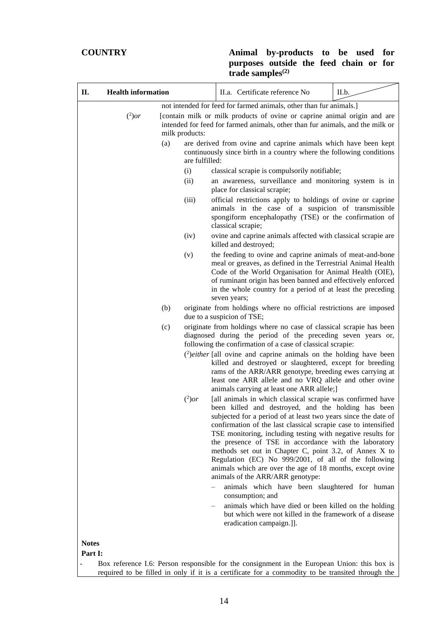| П.           | <b>Health information</b>                                                                                                                                                                        |                       | II.a. Certificate reference No                                                                                                                                                                                                                                                                                                                                                                                                                                                                                                                                                                   | II.b. |  |
|--------------|--------------------------------------------------------------------------------------------------------------------------------------------------------------------------------------------------|-----------------------|--------------------------------------------------------------------------------------------------------------------------------------------------------------------------------------------------------------------------------------------------------------------------------------------------------------------------------------------------------------------------------------------------------------------------------------------------------------------------------------------------------------------------------------------------------------------------------------------------|-------|--|
|              | $(^2)$ or                                                                                                                                                                                        | milk products:        | not intended for feed for farmed animals, other than fur animals.]<br>[contain milk or milk products of ovine or caprine animal origin and are<br>intended for feed for farmed animals, other than fur animals, and the milk or                                                                                                                                                                                                                                                                                                                                                                  |       |  |
|              |                                                                                                                                                                                                  | (a)<br>are fulfilled: | are derived from ovine and caprine animals which have been kept<br>continuously since birth in a country where the following conditions                                                                                                                                                                                                                                                                                                                                                                                                                                                          |       |  |
|              |                                                                                                                                                                                                  | (i)                   | classical scrapie is compulsorily notifiable;                                                                                                                                                                                                                                                                                                                                                                                                                                                                                                                                                    |       |  |
|              |                                                                                                                                                                                                  | (ii)                  | an awareness, surveillance and monitoring system is in<br>place for classical scrapie;                                                                                                                                                                                                                                                                                                                                                                                                                                                                                                           |       |  |
|              |                                                                                                                                                                                                  | (iii)                 | official restrictions apply to holdings of ovine or caprine<br>animals in the case of a suspicion of transmissible<br>spongiform encephalopathy (TSE) or the confirmation of<br>classical scrapie;                                                                                                                                                                                                                                                                                                                                                                                               |       |  |
|              |                                                                                                                                                                                                  | (iv)                  | ovine and caprine animals affected with classical scrapie are<br>killed and destroyed;                                                                                                                                                                                                                                                                                                                                                                                                                                                                                                           |       |  |
|              |                                                                                                                                                                                                  | (v)                   | the feeding to ovine and caprine animals of meat-and-bone<br>meal or greaves, as defined in the Terrestrial Animal Health<br>Code of the World Organisation for Animal Health (OIE),<br>of ruminant origin has been banned and effectively enforced<br>in the whole country for a period of at least the preceding<br>seven years;                                                                                                                                                                                                                                                               |       |  |
|              |                                                                                                                                                                                                  | (b)                   | originate from holdings where no official restrictions are imposed<br>due to a suspicion of TSE;                                                                                                                                                                                                                                                                                                                                                                                                                                                                                                 |       |  |
|              |                                                                                                                                                                                                  | (c)                   | originate from holdings where no case of classical scrapie has been<br>diagnosed during the period of the preceding seven years or,<br>following the confirmation of a case of classical scrapie:                                                                                                                                                                                                                                                                                                                                                                                                |       |  |
|              |                                                                                                                                                                                                  |                       | $^{2}$ ) <i>either</i> [all ovine and caprine animals on the holding have been<br>killed and destroyed or slaughtered, except for breeding<br>rams of the ARR/ARR genotype, breeding ewes carrying at<br>least one ARR allele and no VRQ allele and other ovine<br>animals carrying at least one ARR allele;]                                                                                                                                                                                                                                                                                    |       |  |
|              |                                                                                                                                                                                                  | $(^2)$ or             | [all animals in which classical scrapie was confirmed have<br>been killed and destroyed, and the holding has been<br>subjected for a period of at least two years since the date of<br>confirmation of the last classical scrapie case to intensified<br>TSE monitoring, including testing with negative results for<br>the presence of TSE in accordance with the laboratory<br>methods set out in Chapter C, point 3.2, of Annex X to<br>Regulation (EC) No 999/2001, of all of the following<br>animals which are over the age of 18 months, except ovine<br>animals of the ARR/ARR genotype: |       |  |
|              |                                                                                                                                                                                                  |                       | animals which have been slaughtered for human<br>consumption; and                                                                                                                                                                                                                                                                                                                                                                                                                                                                                                                                |       |  |
|              |                                                                                                                                                                                                  |                       | animals which have died or been killed on the holding<br>but which were not killed in the framework of a disease<br>eradication campaign.]].                                                                                                                                                                                                                                                                                                                                                                                                                                                     |       |  |
| <b>Notes</b> |                                                                                                                                                                                                  |                       |                                                                                                                                                                                                                                                                                                                                                                                                                                                                                                                                                                                                  |       |  |
| Part I:      |                                                                                                                                                                                                  |                       |                                                                                                                                                                                                                                                                                                                                                                                                                                                                                                                                                                                                  |       |  |
|              | Box reference I.6: Person responsible for the consignment in the European Union: this box is<br>required to be filled in only if it is a certificate for a commodity to be transited through the |                       |                                                                                                                                                                                                                                                                                                                                                                                                                                                                                                                                                                                                  |       |  |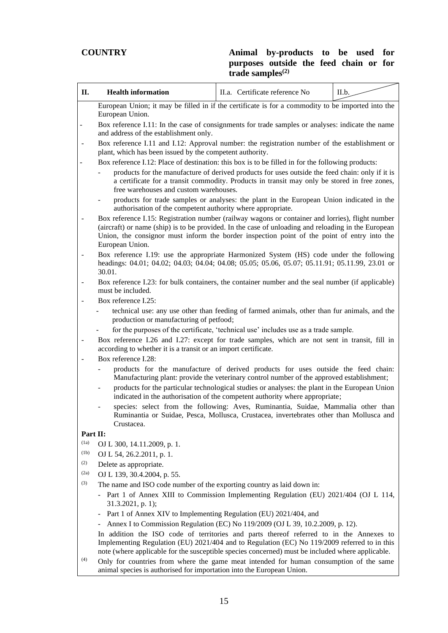| П.                       | <b>Health information</b>                                                                                                                                                                                                                                                                                                 | II.a. Certificate reference No                                                                                                                                                                                                                                                                                                                                   | II.b. |  |  |  |  |
|--------------------------|---------------------------------------------------------------------------------------------------------------------------------------------------------------------------------------------------------------------------------------------------------------------------------------------------------------------------|------------------------------------------------------------------------------------------------------------------------------------------------------------------------------------------------------------------------------------------------------------------------------------------------------------------------------------------------------------------|-------|--|--|--|--|
|                          | European Union; it may be filled in if the certificate is for a commodity to be imported into the                                                                                                                                                                                                                         |                                                                                                                                                                                                                                                                                                                                                                  |       |  |  |  |  |
|                          | European Union.<br>Box reference I.11: In the case of consignments for trade samples or analyses: indicate the name<br>and address of the establishment only.                                                                                                                                                             |                                                                                                                                                                                                                                                                                                                                                                  |       |  |  |  |  |
|                          | Box reference I.11 and I.12: Approval number: the registration number of the establishment or<br>plant, which has been issued by the competent authority.                                                                                                                                                                 |                                                                                                                                                                                                                                                                                                                                                                  |       |  |  |  |  |
|                          | Box reference I.12: Place of destination: this box is to be filled in for the following products:                                                                                                                                                                                                                         |                                                                                                                                                                                                                                                                                                                                                                  |       |  |  |  |  |
|                          | free warehouses and custom warehouses.                                                                                                                                                                                                                                                                                    | products for the manufacture of derived products for uses outside the feed chain: only if it is<br>a certificate for a transit commodity. Products in transit may only be stored in free zones,                                                                                                                                                                  |       |  |  |  |  |
|                          | authorisation of the competent authority where appropriate.                                                                                                                                                                                                                                                               | products for trade samples or analyses: the plant in the European Union indicated in the                                                                                                                                                                                                                                                                         |       |  |  |  |  |
| $\overline{\phantom{m}}$ | Box reference I.15: Registration number (railway wagons or container and lorries), flight number<br>(aircraft) or name (ship) is to be provided. In the case of unloading and reloading in the European<br>Union, the consignor must inform the border inspection point of the point of entry into the<br>European Union. |                                                                                                                                                                                                                                                                                                                                                                  |       |  |  |  |  |
| $\blacksquare$           | Box reference I.19: use the appropriate Harmonized System (HS) code under the following<br>headings: 04.01; 04.02; 04.03; 04.04; 04.08; 05.05; 05.06, 05.07; 05.11.91; 05.11.99, 23.01 or<br>30.01.                                                                                                                       |                                                                                                                                                                                                                                                                                                                                                                  |       |  |  |  |  |
| $\overline{\phantom{m}}$ | Box reference I.23: for bulk containers, the container number and the seal number (if applicable)<br>must be included.                                                                                                                                                                                                    |                                                                                                                                                                                                                                                                                                                                                                  |       |  |  |  |  |
|                          | Box reference I.25:                                                                                                                                                                                                                                                                                                       |                                                                                                                                                                                                                                                                                                                                                                  |       |  |  |  |  |
|                          | production or manufacturing of petfood;                                                                                                                                                                                                                                                                                   | technical use: any use other than feeding of farmed animals, other than fur animals, and the                                                                                                                                                                                                                                                                     |       |  |  |  |  |
|                          |                                                                                                                                                                                                                                                                                                                           | for the purposes of the certificate, 'technical use' includes use as a trade sample.                                                                                                                                                                                                                                                                             |       |  |  |  |  |
| $\overline{\phantom{a}}$ | Box reference I.26 and I.27: except for trade samples, which are not sent in transit, fill in<br>according to whether it is a transit or an import certificate.                                                                                                                                                           |                                                                                                                                                                                                                                                                                                                                                                  |       |  |  |  |  |
|                          | Box reference I.28:                                                                                                                                                                                                                                                                                                       |                                                                                                                                                                                                                                                                                                                                                                  |       |  |  |  |  |
|                          |                                                                                                                                                                                                                                                                                                                           | products for the manufacture of derived products for uses outside the feed chain:<br>Manufacturing plant: provide the veterinary control number of the approved establishment;<br>products for the particular technological studies or analyses: the plant in the European Union<br>indicated in the authorisation of the competent authority where appropriate; |       |  |  |  |  |
|                          | Crustacea.                                                                                                                                                                                                                                                                                                                | species: select from the following: Aves, Ruminantia, Suidae, Mammalia other than<br>Ruminantia or Suidae, Pesca, Mollusca, Crustacea, invertebrates other than Mollusca and                                                                                                                                                                                     |       |  |  |  |  |
| Part II:                 |                                                                                                                                                                                                                                                                                                                           |                                                                                                                                                                                                                                                                                                                                                                  |       |  |  |  |  |
| (1a)                     | OJ L 300, 14.11.2009, p. 1.                                                                                                                                                                                                                                                                                               |                                                                                                                                                                                                                                                                                                                                                                  |       |  |  |  |  |
| (1b)                     | OJ L 54, 26.2.2011, p. 1.                                                                                                                                                                                                                                                                                                 |                                                                                                                                                                                                                                                                                                                                                                  |       |  |  |  |  |
| (2)                      | Delete as appropriate.                                                                                                                                                                                                                                                                                                    |                                                                                                                                                                                                                                                                                                                                                                  |       |  |  |  |  |
| (2a)                     | OJ L 139, 30.4.2004, p. 55.                                                                                                                                                                                                                                                                                               |                                                                                                                                                                                                                                                                                                                                                                  |       |  |  |  |  |
| (3)                      | The name and ISO code number of the exporting country as laid down in:<br>Part 1 of Annex XIII to Commission Implementing Regulation (EU) 2021/404 (OJ L 114,<br>31.3.2021, p. 1);                                                                                                                                        |                                                                                                                                                                                                                                                                                                                                                                  |       |  |  |  |  |
|                          | Part 1 of Annex XIV to Implementing Regulation (EU) 2021/404, and                                                                                                                                                                                                                                                         |                                                                                                                                                                                                                                                                                                                                                                  |       |  |  |  |  |
|                          |                                                                                                                                                                                                                                                                                                                           | Annex I to Commission Regulation (EC) No 119/2009 (OJ L 39, 10.2.2009, p. 12).                                                                                                                                                                                                                                                                                   |       |  |  |  |  |
|                          | In addition the ISO code of territories and parts thereof referred to in the Annexes to<br>Implementing Regulation (EU) 2021/404 and to Regulation (EC) No 119/2009 referred to in this<br>note (where applicable for the susceptible species concerned) must be included where applicable.                               |                                                                                                                                                                                                                                                                                                                                                                  |       |  |  |  |  |
| (4)                      | Only for countries from where the game meat intended for human consumption of the same<br>animal species is authorised for importation into the European Union.                                                                                                                                                           |                                                                                                                                                                                                                                                                                                                                                                  |       |  |  |  |  |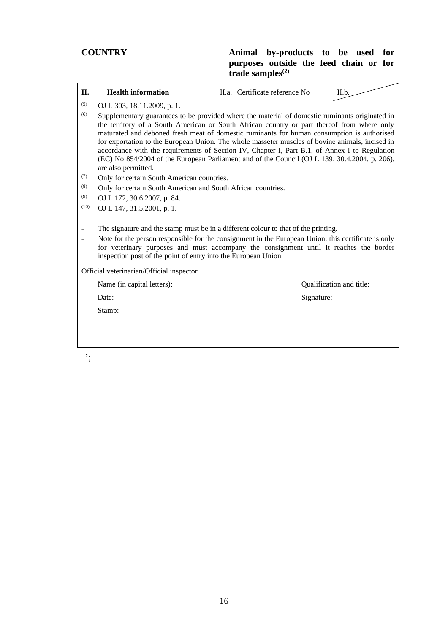| П.                        | <b>Health information</b>                                                                                                                                                                                                                                                                                                                                                                                                                                                                                                                                                                                                                             | II.a. Certificate reference No | II.b.                    |  |  |  |
|---------------------------|-------------------------------------------------------------------------------------------------------------------------------------------------------------------------------------------------------------------------------------------------------------------------------------------------------------------------------------------------------------------------------------------------------------------------------------------------------------------------------------------------------------------------------------------------------------------------------------------------------------------------------------------------------|--------------------------------|--------------------------|--|--|--|
| (5)<br>(6)                | OJ L 303, 18.11.2009, p. 1.<br>Supplementary guarantees to be provided where the material of domestic ruminants originated in<br>the territory of a South American or South African country or part thereof from where only<br>maturated and deboned fresh meat of domestic ruminants for human consumption is authorised<br>for exportation to the European Union. The whole masseter muscles of bovine animals, incised in<br>accordance with the requirements of Section IV, Chapter I, Part B.1, of Annex I to Regulation<br>(EC) No 854/2004 of the European Parliament and of the Council (OJ L 139, 30.4.2004, p. 206),<br>are also permitted. |                                |                          |  |  |  |
| (7)<br>(8)<br>(9)<br>(10) | Only for certain South American countries.<br>Only for certain South American and South African countries.<br>OJ L 172, 30.6.2007, p. 84.<br>OJ L 147, 31.5.2001, p. 1.                                                                                                                                                                                                                                                                                                                                                                                                                                                                               |                                |                          |  |  |  |
|                           | The signature and the stamp must be in a different colour to that of the printing.<br>Note for the person responsible for the consignment in the European Union: this certificate is only<br>for veterinary purposes and must accompany the consignment until it reaches the border<br>inspection post of the point of entry into the European Union.                                                                                                                                                                                                                                                                                                 |                                |                          |  |  |  |
|                           | Official veterinarian/Official inspector                                                                                                                                                                                                                                                                                                                                                                                                                                                                                                                                                                                                              |                                |                          |  |  |  |
|                           | Name (in capital letters):                                                                                                                                                                                                                                                                                                                                                                                                                                                                                                                                                                                                                            |                                | Qualification and title: |  |  |  |
|                           | Date:                                                                                                                                                                                                                                                                                                                                                                                                                                                                                                                                                                                                                                                 |                                | Signature:               |  |  |  |
|                           | Stamp:                                                                                                                                                                                                                                                                                                                                                                                                                                                                                                                                                                                                                                                |                                |                          |  |  |  |
| ۰.                        |                                                                                                                                                                                                                                                                                                                                                                                                                                                                                                                                                                                                                                                       |                                |                          |  |  |  |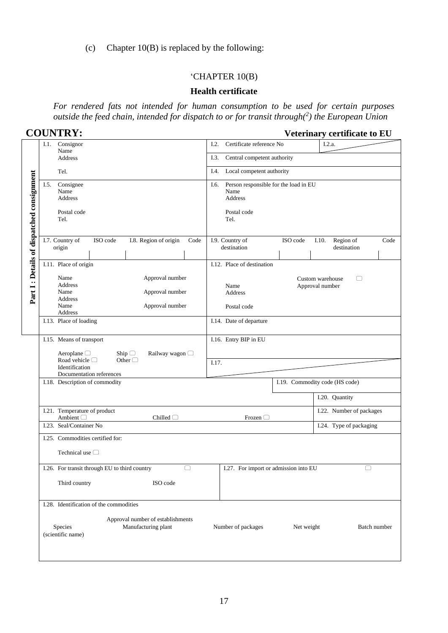(c) Chapter 10(B) is replaced by the following:

#### 'CHAPTER 10(B)

#### **Health certificate**

*For rendered fats not intended for human consumption to be used for certain purposes outside the feed chain, intended for dispatch to or for transit through(<sup>2</sup> ) the European Union*

| <b>COUNTRY:</b> |  |
|-----------------|--|
|                 |  |

**COUNTRY: Veterinary certificate to EU**

|                                           | Consignor<br>I.1.<br>Name                                                                                      | Certificate reference No<br>1.2.<br>I.2.a.                                              |  |  |  |  |
|-------------------------------------------|----------------------------------------------------------------------------------------------------------------|-----------------------------------------------------------------------------------------|--|--|--|--|
|                                           | <b>Address</b>                                                                                                 | I.3.<br>Central competent authority                                                     |  |  |  |  |
|                                           | Tel.                                                                                                           | Local competent authority<br>I.4.                                                       |  |  |  |  |
| Part I: Details of dispatched consignment | Consignee<br>I.5.<br>Name<br>Address<br>Postal code<br>Tel.                                                    | Person responsible for the load in EU<br>I.6.<br>Name<br>Address<br>Postal code<br>Tel. |  |  |  |  |
|                                           | I.8. Region of origin<br>I.7. Country of<br>ISO code<br>Code<br>origin                                         | I.9. Country of<br>ISO code<br>Region of<br>Code<br>I.10.<br>destination<br>destination |  |  |  |  |
|                                           | I.11. Place of origin                                                                                          | I.12. Place of destination                                                              |  |  |  |  |
|                                           | Approval number<br>Name<br>Address<br>Name<br>Approval number<br>Address<br>Name<br>Approval number<br>Address | Custom warehouse<br>$\Box$<br>Approval number<br>Name<br><b>Address</b><br>Postal code  |  |  |  |  |
|                                           | I.13. Place of loading                                                                                         | I.14. Date of departure                                                                 |  |  |  |  |
|                                           | I.15. Means of transport<br>Aeroplane $\Box$<br>Ship $\Box$<br>Railway wagon □                                 | I.16. Entry BIP in EU                                                                   |  |  |  |  |
|                                           | Road vehicle $\Box$<br>Other $\Box$<br>Identification<br>Documentation references                              | I.17.                                                                                   |  |  |  |  |
|                                           | I.18. Description of commodity                                                                                 | I.19. Commodity code (HS code)                                                          |  |  |  |  |
|                                           |                                                                                                                | I.20. Quantity                                                                          |  |  |  |  |
|                                           | I.21. Temperature of product<br>Ambient <sup>1</sup><br>Chilled $\Box$                                         | I.22. Number of packages<br>Frozen $\Box$                                               |  |  |  |  |
|                                           | I.23. Seal/Container No                                                                                        | I.24. Type of packaging                                                                 |  |  |  |  |
|                                           | I.25. Commodities certified for:<br>Technical use $\Box$                                                       |                                                                                         |  |  |  |  |
|                                           | I.26. For transit through EU to third country<br>O                                                             | I.27. For import or admission into EU<br>$\Box$                                         |  |  |  |  |
|                                           | Third country<br>ISO code                                                                                      |                                                                                         |  |  |  |  |
|                                           | I.28. Identification of the commodities                                                                        |                                                                                         |  |  |  |  |
|                                           | Approval number of establishments<br>Species<br>Manufacturing plant<br>(scientific name)                       | Number of packages<br>Net weight<br>Batch number                                        |  |  |  |  |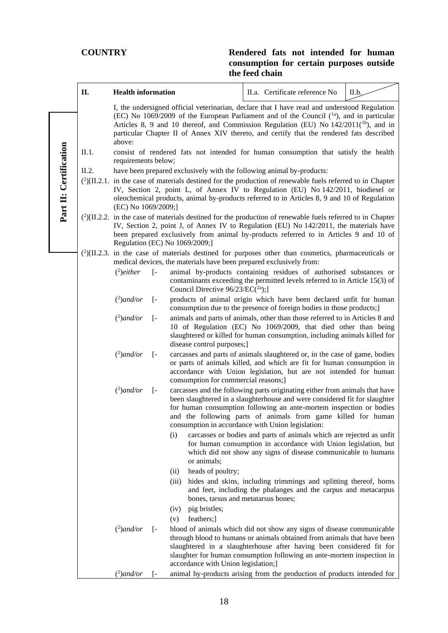|                                                                                                                                                                                                                                                                                                                                       | П.    | <b>Health information</b>                                             |                                                                                                                                                                                                                                                                                                                            |                                                                           |                                                                                     | II.a. Certificate reference No                                                                                                                                                                                                                                                                                                                                                       | II.b. |  |  |  |
|---------------------------------------------------------------------------------------------------------------------------------------------------------------------------------------------------------------------------------------------------------------------------------------------------------------------------------------|-------|-----------------------------------------------------------------------|----------------------------------------------------------------------------------------------------------------------------------------------------------------------------------------------------------------------------------------------------------------------------------------------------------------------------|---------------------------------------------------------------------------|-------------------------------------------------------------------------------------|--------------------------------------------------------------------------------------------------------------------------------------------------------------------------------------------------------------------------------------------------------------------------------------------------------------------------------------------------------------------------------------|-------|--|--|--|
|                                                                                                                                                                                                                                                                                                                                       |       | above:                                                                |                                                                                                                                                                                                                                                                                                                            |                                                                           |                                                                                     | I, the undersigned official veterinarian, declare that I have read and understood Regulation<br>(EC) No 1069/2009 of the European Parliament and of the Council $(1a)$ , and in particular<br>Articles 8, 9 and 10 thereof, and Commission Regulation (EU) No $142/2011^{(1b)}$ , and in<br>particular Chapter II of Annex XIV thereto, and certify that the rendered fats described |       |  |  |  |
|                                                                                                                                                                                                                                                                                                                                       | II.1. | requirements below;                                                   |                                                                                                                                                                                                                                                                                                                            |                                                                           | consist of rendered fats not intended for human consumption that satisfy the health |                                                                                                                                                                                                                                                                                                                                                                                      |       |  |  |  |
|                                                                                                                                                                                                                                                                                                                                       | II.2. | have been prepared exclusively with the following animal by-products: |                                                                                                                                                                                                                                                                                                                            |                                                                           |                                                                                     |                                                                                                                                                                                                                                                                                                                                                                                      |       |  |  |  |
| Part II: Certification                                                                                                                                                                                                                                                                                                                |       |                                                                       | $(^{2})$ [II.2.1. in the case of materials destined for the production of renewable fuels referred to in Chapter<br>IV, Section 2, point L, of Annex IV to Regulation (EU) No 142/2011, biodiesel or<br>oleochemical products, animal by-products referred to in Articles 8, 9 and 10 of Regulation<br>(EC) No 1069/2009;] |                                                                           |                                                                                     |                                                                                                                                                                                                                                                                                                                                                                                      |       |  |  |  |
| $(^{2})$ [II.2.2. in the case of materials destined for the production of renewable fuels referred to in Chapter<br>IV, Section 2, point J, of Annex IV to Regulation (EU) No 142/2011, the materials have<br>been prepared exclusively from animal by-products referred to in Articles 9 and 10 of<br>Regulation (EC) No 1069/2009;] |       |                                                                       |                                                                                                                                                                                                                                                                                                                            |                                                                           |                                                                                     |                                                                                                                                                                                                                                                                                                                                                                                      |       |  |  |  |
|                                                                                                                                                                                                                                                                                                                                       |       |                                                                       |                                                                                                                                                                                                                                                                                                                            | medical devices, the materials have been prepared exclusively from:       |                                                                                     | $^{2}$ [II.2.3. in the case of materials destined for purposes other than cosmetics, pharmaceuticals or                                                                                                                                                                                                                                                                              |       |  |  |  |
|                                                                                                                                                                                                                                                                                                                                       |       | $^{2}$ )either                                                        | $\lceil - \rceil$                                                                                                                                                                                                                                                                                                          | Council Directive $96/23/EC(^{2a})$ ;                                     |                                                                                     | animal by-products containing residues of authorised substances or<br>contaminants exceeding the permitted levels referred to in Article 15(3) of                                                                                                                                                                                                                                    |       |  |  |  |
|                                                                                                                                                                                                                                                                                                                                       |       | $(^2)$ and/or                                                         | $\left[ -\right]$                                                                                                                                                                                                                                                                                                          |                                                                           |                                                                                     | products of animal origin which have been declared unfit for human<br>consumption due to the presence of foreign bodies in those products;]                                                                                                                                                                                                                                          |       |  |  |  |
|                                                                                                                                                                                                                                                                                                                                       |       | $(^2)$ and/or                                                         | $[ -$                                                                                                                                                                                                                                                                                                                      | disease control purposes;]                                                |                                                                                     | animals and parts of animals, other than those referred to in Articles 8 and<br>10 of Regulation (EC) No 1069/2009, that died other than being<br>slaughtered or killed for human consumption, including animals killed for                                                                                                                                                          |       |  |  |  |
|                                                                                                                                                                                                                                                                                                                                       |       | $(^2)$ and/or                                                         | $\left[ -\right]$                                                                                                                                                                                                                                                                                                          | consumption for commercial reasons;                                       |                                                                                     | carcasses and parts of animals slaughtered or, in the case of game, bodies<br>or parts of animals killed, and which are fit for human consumption in<br>accordance with Union legislation, but are not intended for human                                                                                                                                                            |       |  |  |  |
|                                                                                                                                                                                                                                                                                                                                       |       | $(^2)$ and/or                                                         | $\left[ -\right]$                                                                                                                                                                                                                                                                                                          | consumption in accordance with Union legislation:                         |                                                                                     | carcasses and the following parts originating either from animals that have<br>been slaughtered in a slaughterhouse and were considered fit for slaughter<br>for human consumption following an ante-mortem inspection or bodies<br>and the following parts of animals from game killed for human                                                                                    |       |  |  |  |
|                                                                                                                                                                                                                                                                                                                                       |       |                                                                       |                                                                                                                                                                                                                                                                                                                            | (i)<br>or animals;                                                        |                                                                                     | carcasses or bodies and parts of animals which are rejected as unfit<br>for human consumption in accordance with Union legislation, but<br>which did not show any signs of disease communicable to humans                                                                                                                                                                            |       |  |  |  |
|                                                                                                                                                                                                                                                                                                                                       |       |                                                                       |                                                                                                                                                                                                                                                                                                                            | heads of poultry;<br>(ii)<br>(iii)<br>bones, tarsus and metatarsus bones; |                                                                                     | hides and skins, including trimmings and splitting thereof, horns<br>and feet, including the phalanges and the carpus and metacarpus                                                                                                                                                                                                                                                 |       |  |  |  |
|                                                                                                                                                                                                                                                                                                                                       |       |                                                                       |                                                                                                                                                                                                                                                                                                                            | pig bristles;<br>(iv)                                                     |                                                                                     |                                                                                                                                                                                                                                                                                                                                                                                      |       |  |  |  |
|                                                                                                                                                                                                                                                                                                                                       |       |                                                                       |                                                                                                                                                                                                                                                                                                                            | feathers;]<br>(v)                                                         |                                                                                     |                                                                                                                                                                                                                                                                                                                                                                                      |       |  |  |  |
|                                                                                                                                                                                                                                                                                                                                       |       | $(2)$ and/or                                                          | $\left[ -\right]$                                                                                                                                                                                                                                                                                                          | accordance with Union legislation;]                                       |                                                                                     | blood of animals which did not show any signs of disease communicable<br>through blood to humans or animals obtained from animals that have been<br>slaughtered in a slaughterhouse after having been considered fit for<br>slaughter for human consumption following an ante-mortem inspection in                                                                                   |       |  |  |  |
|                                                                                                                                                                                                                                                                                                                                       |       | $(^2)$ and/or                                                         | I-                                                                                                                                                                                                                                                                                                                         |                                                                           |                                                                                     | animal by-products arising from the production of products intended for                                                                                                                                                                                                                                                                                                              |       |  |  |  |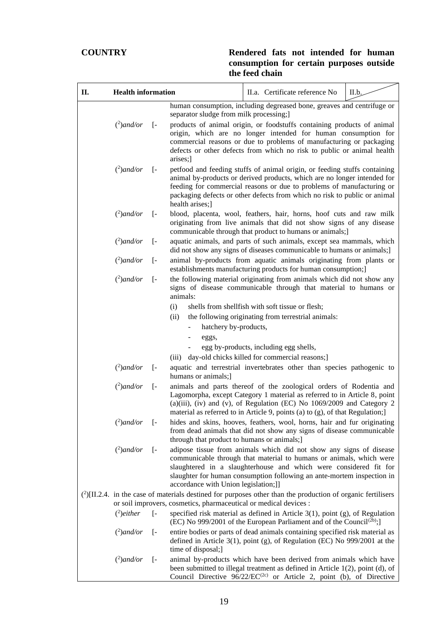| П. | <b>Health information</b> |                   |                                                                   | II.a. Certificate reference No                                                                                                                                                                                                                                                                              | II.b. |
|----|---------------------------|-------------------|-------------------------------------------------------------------|-------------------------------------------------------------------------------------------------------------------------------------------------------------------------------------------------------------------------------------------------------------------------------------------------------------|-------|
|    |                           |                   | separator sludge from milk processing;]                           | human consumption, including degreased bone, greaves and centrifuge or                                                                                                                                                                                                                                      |       |
|    | $(^2)$ and/or             | $\left[ -\right]$ | arises;]                                                          | products of animal origin, or foodstuffs containing products of animal<br>origin, which are no longer intended for human consumption for<br>commercial reasons or due to problems of manufacturing or packaging<br>defects or other defects from which no risk to public or animal health                   |       |
|    | $(^2)$ and/or             | $\left[ -\right]$ | health arises;]                                                   | petfood and feeding stuffs of animal origin, or feeding stuffs containing<br>animal by-products or derived products, which are no longer intended for<br>feeding for commercial reasons or due to problems of manufacturing or<br>packaging defects or other defects from which no risk to public or animal |       |
|    | $(^2)$ and/or             | $\lceil - \rceil$ |                                                                   | blood, placenta, wool, feathers, hair, horns, hoof cuts and raw milk<br>originating from live animals that did not show signs of any disease<br>communicable through that product to humans or animals;]                                                                                                    |       |
|    | $(^2)$ and/or             | $\left[ -\right]$ |                                                                   | aquatic animals, and parts of such animals, except sea mammals, which<br>did not show any signs of diseases communicable to humans or animals;]                                                                                                                                                             |       |
|    | $(^2)$ and/or             | $\left[ -\right]$ |                                                                   | animal by-products from aquatic animals originating from plants or<br>establishments manufacturing products for human consumption;]                                                                                                                                                                         |       |
|    | $(^2)$ and/or             | $\lceil$ -        | animals:                                                          | the following material originating from animals which did not show any<br>signs of disease communicable through that material to humans or                                                                                                                                                                  |       |
|    |                           |                   | (i)<br>(ii)<br>hatchery by-products,<br>eggs,                     | shells from shellfish with soft tissue or flesh;<br>the following originating from terrestrial animals:                                                                                                                                                                                                     |       |
|    |                           |                   |                                                                   | egg by-products, including egg shells,                                                                                                                                                                                                                                                                      |       |
|    |                           |                   | (iii)                                                             | day-old chicks killed for commercial reasons;]                                                                                                                                                                                                                                                              |       |
|    | $(^2)$ and/or             | $\lceil - \rceil$ | humans or animals;]                                               | aquatic and terrestrial invertebrates other than species pathogenic to                                                                                                                                                                                                                                      |       |
|    | $(^2)$ and/or             | $[-$              |                                                                   | animals and parts thereof of the zoological orders of Rodentia and<br>Lagomorpha, except Category 1 material as referred to in Article 8, point<br>(a)(iii), (iv) and (v), of Regulation (EC) No 1069/2009 and Category 2<br>material as referred to in Article 9, points (a) to (g), of that Regulation;]  |       |
|    | $(^2)$ and/or [-          |                   | through that product to humans or animals;]                       | hides and skins, hooves, feathers, wool, horns, hair and fur originating<br>from dead animals that did not show any signs of disease communicable                                                                                                                                                           |       |
|    | $(^2)$ and/or             | $\left[ -\right]$ | accordance with Union legislation;]]                              | adipose tissue from animals which did not show any signs of disease<br>communicable through that material to humans or animals, which were<br>slaughtered in a slaughterhouse and which were considered fit for<br>slaughter for human consumption following an ante-mortem inspection in                   |       |
|    |                           |                   |                                                                   | $(^{2})$ [II.2.4. in the case of materials destined for purposes other than the production of organic fertilisers                                                                                                                                                                                           |       |
|    |                           |                   | or soil improvers, cosmetics, pharmaceutical or medical devices : |                                                                                                                                                                                                                                                                                                             |       |
|    | $(2)$ either              | $\left[ -\right]$ |                                                                   | specified risk material as defined in Article $3(1)$ , point (g), of Regulation<br>(EC) No 999/2001 of the European Parliament and of the Council <sup>(2b)</sup> ;                                                                                                                                         |       |
|    | $(^2)$ and/or             | $\left[ -\right]$ | time of disposal;]                                                | entire bodies or parts of dead animals containing specified risk material as<br>defined in Article $3(1)$ , point (g), of Regulation (EC) No 999/2001 at the                                                                                                                                                |       |
|    | $(^2)$ and/or             | $\left[ -\right]$ |                                                                   | animal by-products which have been derived from animals which have<br>been submitted to illegal treatment as defined in Article $1(2)$ , point (d), of<br>Council Directive 96/22/EC <sup>(2c)</sup> or Article 2, point (b), of Directive                                                                  |       |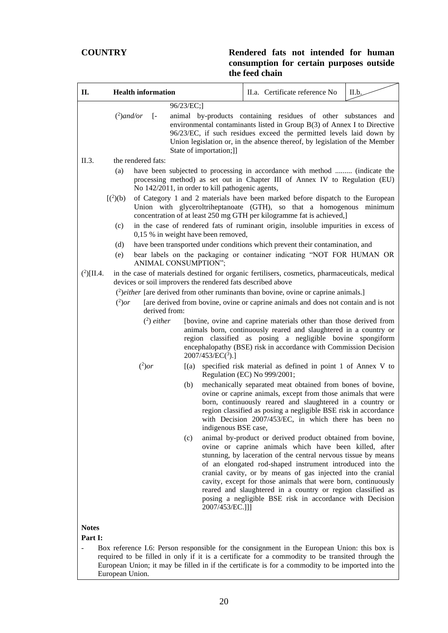| П.                                                                                    | <b>Health information</b>                                                                |                                                                                                                                                                                                                                                               | II.a. Certificate reference No                                                                                                                                                                                                                                                                                                                                                                                                                                                                                                                                                                                                                                                                                                                                                                                                                                                                                                                                                                                                                                                                                                                                                                                                                                                                                                                                                                                                                                                                                                                                                                                                                                                                                                                                                                                                                                                                                                                                                                                                              | II.b. |
|---------------------------------------------------------------------------------------|------------------------------------------------------------------------------------------|---------------------------------------------------------------------------------------------------------------------------------------------------------------------------------------------------------------------------------------------------------------|---------------------------------------------------------------------------------------------------------------------------------------------------------------------------------------------------------------------------------------------------------------------------------------------------------------------------------------------------------------------------------------------------------------------------------------------------------------------------------------------------------------------------------------------------------------------------------------------------------------------------------------------------------------------------------------------------------------------------------------------------------------------------------------------------------------------------------------------------------------------------------------------------------------------------------------------------------------------------------------------------------------------------------------------------------------------------------------------------------------------------------------------------------------------------------------------------------------------------------------------------------------------------------------------------------------------------------------------------------------------------------------------------------------------------------------------------------------------------------------------------------------------------------------------------------------------------------------------------------------------------------------------------------------------------------------------------------------------------------------------------------------------------------------------------------------------------------------------------------------------------------------------------------------------------------------------------------------------------------------------------------------------------------------------|-------|
|                                                                                       | $(2)$ and/or<br>$\left[ -\right]$                                                        | 96/23/EC;]                                                                                                                                                                                                                                                    | animal by-products containing residues of other substances and<br>environmental contaminants listed in Group B(3) of Annex I to Directive<br>96/23/EC, if such residues exceed the permitted levels laid down by<br>Union legislation or, in the absence thereof, by legislation of the Member                                                                                                                                                                                                                                                                                                                                                                                                                                                                                                                                                                                                                                                                                                                                                                                                                                                                                                                                                                                                                                                                                                                                                                                                                                                                                                                                                                                                                                                                                                                                                                                                                                                                                                                                              |       |
| II.3.<br>(a)<br>$[({}^{2})({}b)$<br>(c)<br>(d)<br>(e)<br>$(^{2})$ [II.4.<br>$(^2)$ or | the rendered fats:<br>ANIMAL CONSUMPTION";<br>derived from:<br>$(2)$ either<br>$(^2)$ or | State of importation;]]<br>No 142/2011, in order to kill pathogenic agents,<br>0,15 % in weight have been removed,<br>devices or soil improvers the rendered fats described above<br>$2007/453/EC(^3).$<br>$\lceil$ (a)<br>(b)<br>indigenous BSE case,<br>(c) | have been subjected to processing in accordance with method  (indicate the<br>processing method) as set out in Chapter III of Annex IV to Regulation (EU)<br>of Category 1 and 2 materials have been marked before dispatch to the European<br>Union with glyceroltriheptanoate (GTH), so that a homogenous minimum<br>concentration of at least 250 mg GTH per kilogramme fat is achieved,]<br>in the case of rendered fats of ruminant origin, insoluble impurities in excess of<br>have been transported under conditions which prevent their contamination, and<br>bear labels on the packaging or container indicating "NOT FOR HUMAN OR<br>in the case of materials destined for organic fertilisers, cosmetics, pharmaceuticals, medical<br>$\binom{2}{2}$ <i>either</i> [are derived from other ruminants than bovine, ovine or caprine animals.]<br>[are derived from bovine, ovine or caprine animals and does not contain and is not<br>[bovine, ovine and caprine materials other than those derived from<br>animals born, continuously reared and slaughtered in a country or<br>region classified as posing a negligible bovine spongiform<br>encephalopathy (BSE) risk in accordance with Commission Decision<br>specified risk material as defined in point 1 of Annex V to<br>Regulation (EC) No 999/2001;<br>mechanically separated meat obtained from bones of bovine,<br>ovine or caprine animals, except from those animals that were<br>born, continuously reared and slaughtered in a country or<br>region classified as posing a negligible BSE risk in accordance<br>with Decision 2007/453/EC, in which there has been no<br>animal by-product or derived product obtained from bovine,<br>ovine or caprine animals which have been killed, after<br>stunning, by laceration of the central nervous tissue by means<br>of an elongated rod-shaped instrument introduced into the<br>cranial cavity, or by means of gas injected into the cranial<br>cavity, except for those animals that were born, continuously |       |
| <b>Notes</b><br>Part I:<br>÷,                                                         |                                                                                          | 2007/453/EC.]]]                                                                                                                                                                                                                                               | posing a negligible BSE risk in accordance with Decision<br>Box reference I.6: Person responsible for the consignment in the European Union: this box is<br>required to be filled in only if it is a certificate for a commodity to be transited through the                                                                                                                                                                                                                                                                                                                                                                                                                                                                                                                                                                                                                                                                                                                                                                                                                                                                                                                                                                                                                                                                                                                                                                                                                                                                                                                                                                                                                                                                                                                                                                                                                                                                                                                                                                                |       |
| European Union.                                                                       |                                                                                          |                                                                                                                                                                                                                                                               | reared and slaughtered in a country or region classified as<br>European Union; it may be filled in if the certificate is for a commodity to be imported into the                                                                                                                                                                                                                                                                                                                                                                                                                                                                                                                                                                                                                                                                                                                                                                                                                                                                                                                                                                                                                                                                                                                                                                                                                                                                                                                                                                                                                                                                                                                                                                                                                                                                                                                                                                                                                                                                            |       |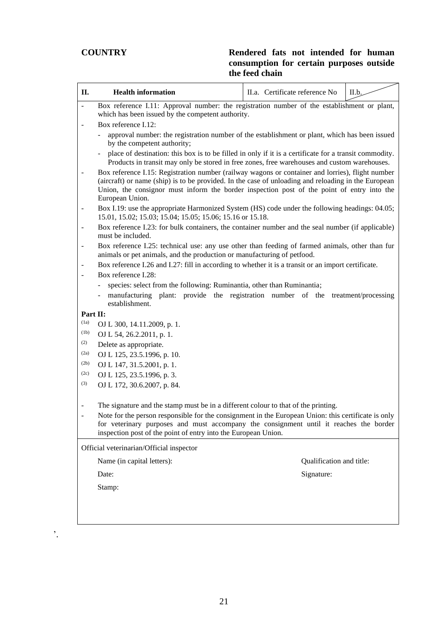'.

| II.            | <b>Health information</b>                                                                                                                                                                                                                                                                                                | II.a. Certificate reference No | II.b. |
|----------------|--------------------------------------------------------------------------------------------------------------------------------------------------------------------------------------------------------------------------------------------------------------------------------------------------------------------------|--------------------------------|-------|
|                | Box reference I.11: Approval number: the registration number of the establishment or plant,                                                                                                                                                                                                                              |                                |       |
|                | which has been issued by the competent authority.                                                                                                                                                                                                                                                                        |                                |       |
|                | Box reference I.12:                                                                                                                                                                                                                                                                                                      |                                |       |
|                | approval number: the registration number of the establishment or plant, which has been issued<br>by the competent authority;                                                                                                                                                                                             |                                |       |
|                | place of destination: this box is to be filled in only if it is a certificate for a transit commodity.<br>Products in transit may only be stored in free zones, free warehouses and custom warehouses.                                                                                                                   |                                |       |
|                | Box reference I.15: Registration number (railway wagons or container and lorries), flight number<br>(aircraft) or name (ship) is to be provided. In the case of unloading and reloading in the European<br>Union, the consignor must inform the border inspection post of the point of entry into the<br>European Union. |                                |       |
|                | Box I.19: use the appropriate Harmonized System (HS) code under the following headings: 04.05;<br>15.01, 15.02; 15.03; 15.04; 15.05; 15.06; 15.16 or 15.18.                                                                                                                                                              |                                |       |
|                | Box reference I.23: for bulk containers, the container number and the seal number (if applicable)<br>must be included.                                                                                                                                                                                                   |                                |       |
|                | Box reference I.25: technical use: any use other than feeding of farmed animals, other than fur<br>animals or pet animals, and the production or manufacturing of petfood.                                                                                                                                               |                                |       |
| $\overline{a}$ | Box reference I.26 and I.27: fill in according to whether it is a transit or an import certificate.                                                                                                                                                                                                                      |                                |       |
|                | Box reference I.28:                                                                                                                                                                                                                                                                                                      |                                |       |
|                | species: select from the following: Ruminantia, other than Ruminantia;                                                                                                                                                                                                                                                   |                                |       |
|                | manufacturing plant: provide the registration number of the treatment/processing<br>establishment.                                                                                                                                                                                                                       |                                |       |
| Part II:       |                                                                                                                                                                                                                                                                                                                          |                                |       |
| (1a)           | OJ L 300, 14.11.2009, p. 1.                                                                                                                                                                                                                                                                                              |                                |       |
| (1b)           | OJ L 54, 26.2.2011, p. 1.                                                                                                                                                                                                                                                                                                |                                |       |
| (2)            | Delete as appropriate.                                                                                                                                                                                                                                                                                                   |                                |       |
| (2a)           | OJ L 125, 23.5.1996, p. 10.                                                                                                                                                                                                                                                                                              |                                |       |
| (2b)           | OJ L 147, 31.5.2001, p. 1.                                                                                                                                                                                                                                                                                               |                                |       |
| (2c)           | OJ L 125, 23.5.1996, p. 3.                                                                                                                                                                                                                                                                                               |                                |       |
| (3)            | OJ L 172, 30.6.2007, p. 84.                                                                                                                                                                                                                                                                                              |                                |       |
|                | The signature and the stamp must be in a different colour to that of the printing.                                                                                                                                                                                                                                       |                                |       |
|                | Note for the person responsible for the consignment in the European Union: this certificate is only<br>for veterinary purposes and must accompany the consignment until it reaches the border<br>inspection post of the point of entry into the European Union.                                                          |                                |       |
|                | Official veterinarian/Official inspector                                                                                                                                                                                                                                                                                 |                                |       |
|                | Name (in capital letters):                                                                                                                                                                                                                                                                                               | Qualification and title:       |       |
|                | Date:                                                                                                                                                                                                                                                                                                                    | Signature:                     |       |
|                | Stamp:                                                                                                                                                                                                                                                                                                                   |                                |       |
|                |                                                                                                                                                                                                                                                                                                                          |                                |       |
|                |                                                                                                                                                                                                                                                                                                                          |                                |       |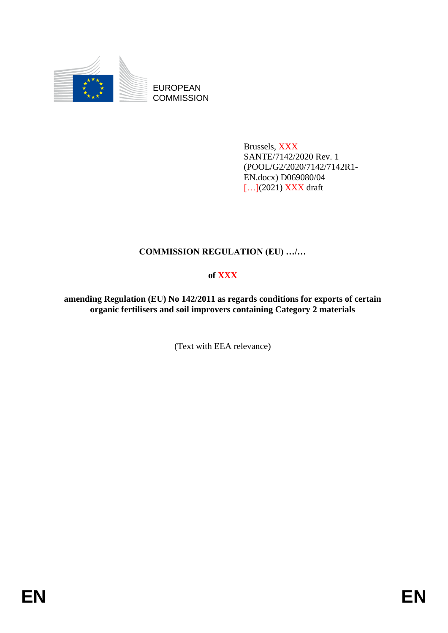

EUROPEAN **COMMISSION** 

> Brussels, XXX SANTE/7142/2020 Rev. 1 (POOL/G2/2020/7142/7142R1- EN.docx) D069080/04 [...](2021) **XXX** draft

# **COMMISSION REGULATION (EU) …/…**

# **of XXX**

**amending Regulation (EU) No 142/2011 as regards conditions for exports of certain organic fertilisers and soil improvers containing Category 2 materials**

(Text with EEA relevance)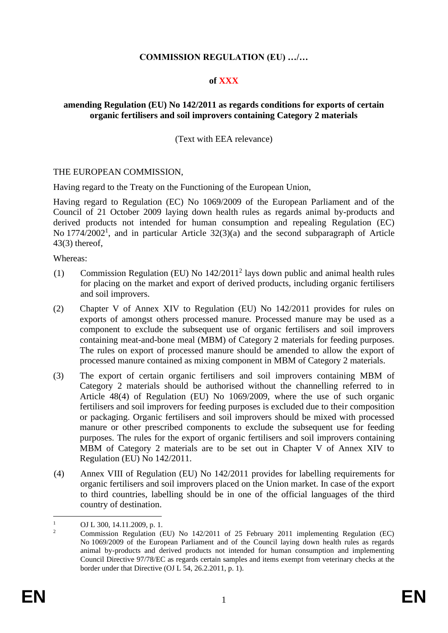# **COMMISSION REGULATION (EU) …/…**

#### **of XXX**

## **amending Regulation (EU) No 142/2011 as regards conditions for exports of certain organic fertilisers and soil improvers containing Category 2 materials**

(Text with EEA relevance)

#### THE EUROPEAN COMMISSION,

Having regard to the Treaty on the Functioning of the European Union,

Having regard to Regulation (EC) No 1069/2009 of the European Parliament and of the Council of 21 October 2009 laying down health rules as regards animal by-products and derived products not intended for human consumption and repealing Regulation (EC) No  $1774/2002<sup>1</sup>$ , and in particular Article  $32(3)(a)$  and the second subparagraph of Article 43(3) thereof,

Whereas:

- (1) Commission Regulation (EU) No 142/2011<sup>2</sup> lays down public and animal health rules for placing on the market and export of derived products, including organic fertilisers and soil improvers.
- (2) Chapter V of Annex XIV to Regulation (EU) No 142/2011 provides for rules on exports of amongst others processed manure. Processed manure may be used as a component to exclude the subsequent use of organic fertilisers and soil improvers containing meat-and-bone meal (MBM) of Category 2 materials for feeding purposes. The rules on export of processed manure should be amended to allow the export of processed manure contained as mixing component in MBM of Category 2 materials.
- (3) The export of certain organic fertilisers and soil improvers containing MBM of Category 2 materials should be authorised without the channelling referred to in Article 48(4) of Regulation (EU) No 1069/2009, where the use of such organic fertilisers and soil improvers for feeding purposes is excluded due to their composition or packaging. Organic fertilisers and soil improvers should be mixed with processed manure or other prescribed components to exclude the subsequent use for feeding purposes. The rules for the export of organic fertilisers and soil improvers containing MBM of Category 2 materials are to be set out in Chapter V of Annex XIV to Regulation (EU) No 142/2011.
- (4) Annex VIII of Regulation (EU) No 142/2011 provides for labelling requirements for organic fertilisers and soil improvers placed on the Union market. In case of the export to third countries, labelling should be in one of the official languages of the third country of destination.

<sup>1</sup> OJ L 300, 14.11.2009, p. 1.

<sup>2</sup> Commission Regulation (EU) No 142/2011 of 25 February 2011 implementing Regulation (EC) No 1069/2009 of the European Parliament and of the Council laying down health rules as regards animal by-products and derived products not intended for human consumption and implementing Council Directive 97/78/EC as regards certain samples and items exempt from veterinary checks at the border under that Directive (OJ L 54, 26.2.2011, p. 1).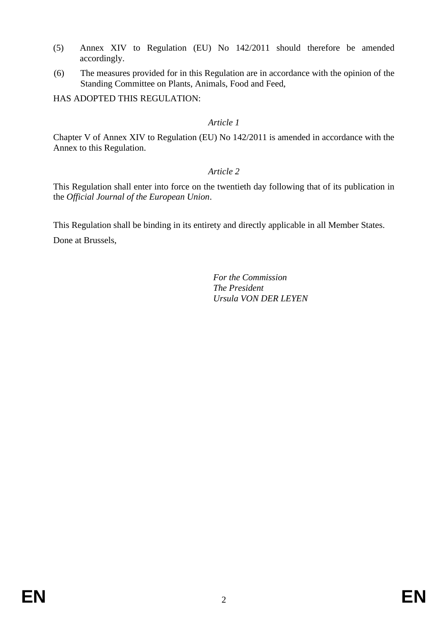- (5) Annex XIV to Regulation (EU) No 142/2011 should therefore be amended accordingly.
- (6) The measures provided for in this Regulation are in accordance with the opinion of the Standing Committee on Plants, Animals, Food and Feed,

HAS ADOPTED THIS REGULATION:

## *Article 1*

Chapter V of Annex XIV to Regulation (EU) No 142/2011 is amended in accordance with the Annex to this Regulation.

# *Article 2*

This Regulation shall enter into force on the twentieth day following that of its publication in the *Official Journal of the European Union*.

This Regulation shall be binding in its entirety and directly applicable in all Member States. Done at Brussels,

> *For the Commission The President Ursula VON DER LEYEN*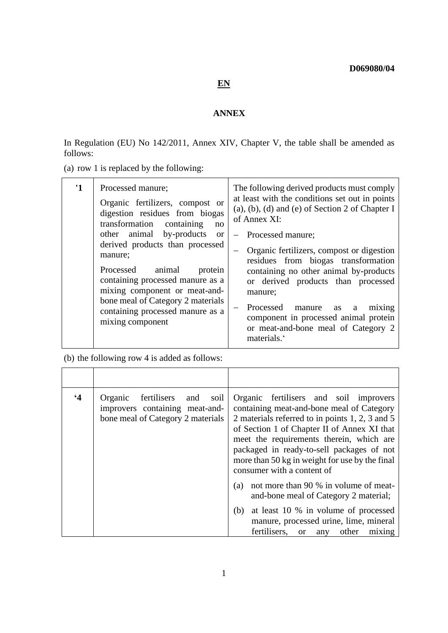# **EN**

#### **ANNEX**

In Regulation (EU) No 142/2011, Annex XIV, Chapter V, the table shall be amended as follows:

(a) row 1 is replaced by the following:

| $\mathbf{1}$ | Processed manure;<br>Organic fertilizers, compost or<br>digestion residues from biogas<br>transformation<br>containing<br>no                                                                                                                   | The following derived products must comply<br>at least with the conditions set out in points<br>$(a)$ , $(b)$ , $(d)$ and $(e)$ of Section 2 of Chapter I<br>of Annex XI:                                                                                                                                          |
|--------------|------------------------------------------------------------------------------------------------------------------------------------------------------------------------------------------------------------------------------------------------|--------------------------------------------------------------------------------------------------------------------------------------------------------------------------------------------------------------------------------------------------------------------------------------------------------------------|
|              | other animal by-products<br><sub>or</sub>                                                                                                                                                                                                      | Processed manure;                                                                                                                                                                                                                                                                                                  |
|              | derived products than processed<br>manure:<br>Processed<br>animal<br>protein<br>containing processed manure as a<br>mixing component or meat-and-<br>bone meal of Category 2 materials<br>containing processed manure as a<br>mixing component | Organic fertilizers, compost or digestion<br>residues from biogas transformation<br>containing no other animal by-products<br>or derived products than processed<br>manure;<br>Processed manure<br>as<br>mixing<br>a<br>component in processed animal protein<br>or meat-and-bone meal of Category 2<br>materials. |

(b) the following row 4 is added as follows:

| $\cdot$ 4 | Organic<br>fertilisers<br>and<br>soil<br>improvers containing meat-and-<br>bone meal of Category 2 materials | Organic fertilisers and soil improvers<br>containing meat-and-bone meal of Category<br>2 materials referred to in points 1, 2, 3 and 5<br>of Section 1 of Chapter II of Annex XI that<br>meet the requirements therein, which are<br>packaged in ready-to-sell packages of not<br>more than 50 kg in weight for use by the final<br>consumer with a content of |
|-----------|--------------------------------------------------------------------------------------------------------------|----------------------------------------------------------------------------------------------------------------------------------------------------------------------------------------------------------------------------------------------------------------------------------------------------------------------------------------------------------------|
|           |                                                                                                              | not more than 90 % in volume of meat-<br>(a)<br>and-bone meal of Category 2 material;                                                                                                                                                                                                                                                                          |
|           |                                                                                                              | at least 10 % in volume of processed<br>(b)<br>manure, processed urine, lime, mineral<br>fertilisers.<br>other<br>mixing<br><b>or</b><br>any                                                                                                                                                                                                                   |